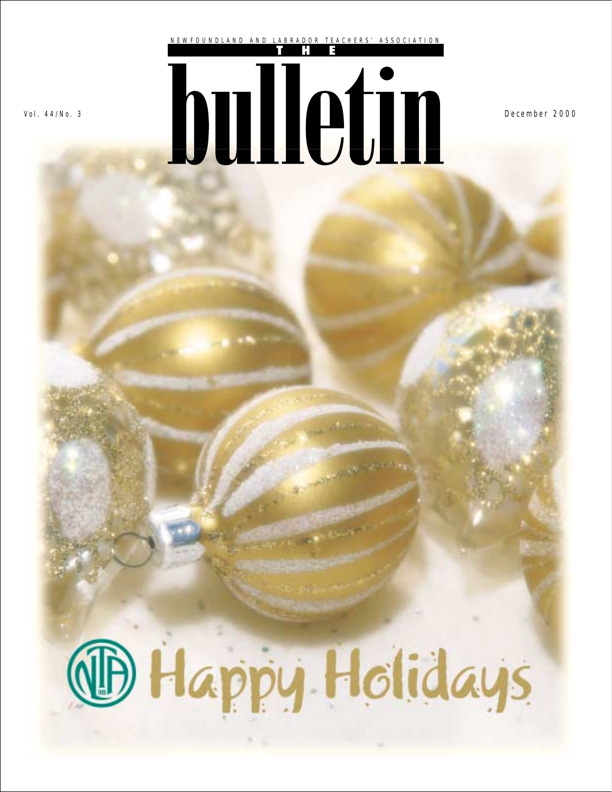

Vol. 44/No. 3 **December 2000** 

# **B Happy Holidays**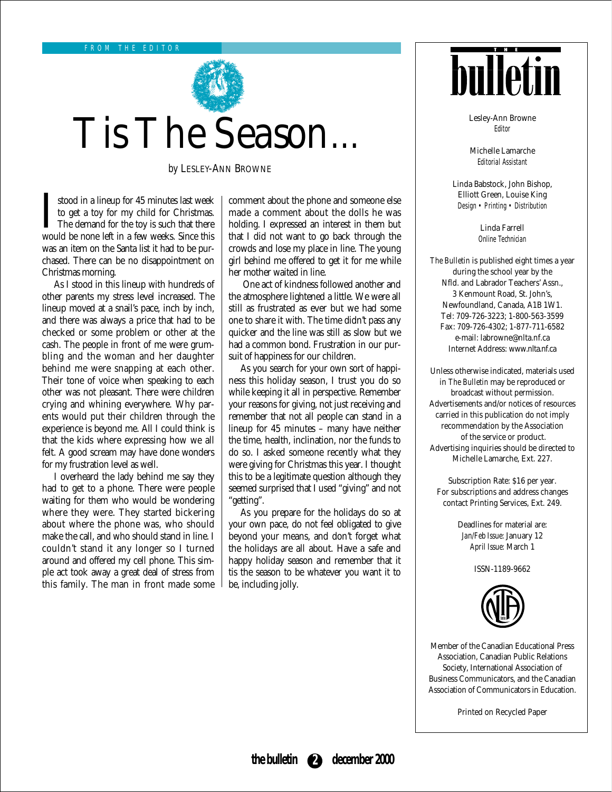

## Tis The Season…

*by* LESLEY-ANN BROWNE

I stood in a lineup for 45 minutes last week<br>to get a toy for my child for Christmas.<br>The demand for the toy is such that there<br>would be none left in a few weeks. Since this stood in a lineup for 45 minutes last week to get a toy for my child for Christmas. The demand for the toy is such that there was an item on the Santa list it had to be purchased. There can be no disappointment on Christmas morning.

As I stood in this lineup with hundreds of other parents my stress level increased. The lineup moved at a snail's pace, inch by inch, and there was always a price that had to be checked or some problem or other at the cash. The people in front of me were grumbling and the woman and her daughter behind me were snapping at each other. Their tone of voice when speaking to each other was not pleasant. There were children crying and whining everywhere. Why parents would put their children through the experience is beyond me. All I could think is that the kids where expressing how we all felt. A good scream may have done wonders for my frustration level as well.

I overheard the lady behind me say they had to get to a phone. There were people waiting for them who would be wondering where they were. They started bickering about where the phone was, who should make the call, and who should stand in line. I couldn't stand it any longer so I turned around and offered my cell phone. This simple act took away a great deal of stress from this family. The man in front made some comment about the phone and someone else made a comment about the dolls he was holding. I expressed an interest in them but that I did not want to go back through the crowds and lose my place in line. The young girl behind me offered to get it for me while her mother waited in line.

One act of kindness followed another and the atmosphere lightened a little. We were all still as frustrated as ever but we had some one to share it with. The time didn't pass any quicker and the line was still as slow but we had a common bond. Frustration in our pursuit of happiness for our children.

As you search for your own sort of happiness this holiday season, I trust you do so while keeping it all in perspective. Remember your reasons for giving, not just receiving and remember that not all people can stand in a lineup for 45 minutes – many have neither the time, health, inclination, nor the funds to do so. I asked someone recently what they were giving for Christmas this year. I thought this to be a legitimate question although they seemed surprised that I used "giving" and not "getting".

As you prepare for the holidays do so at your own pace, do not feel obligated to give beyond your means, and don't forget what the holidays are all about. Have a safe and happy holiday season and remember that it tis the season to be whatever you want it to be, including jolly.



Lesley-Ann Browne Editor

Michelle Lamarche Editorial Assistant

Linda Babstock, John Bishop, Elliott Green, Louise King Design • Printing • Distribution

> Linda Farrell Online Technician

*The Bulletin* is published eight times a year during the school year by the Nfld. and Labrador Teachers' Assn., 3 Kenmount Road, St. John's, Newfoundland, Canada, A1B 1W1. Tel: 709-726-3223; 1-800-563-3599 Fax: 709-726-4302; 1-877-711-6582 e-mail: labrowne@nlta.nf.ca Internet Address: www.nlta.nf.ca

Unless otherwise indicated, materials used in *The Bulletin* may be reproduced or broadcast without permission. Advertisements and/or notices of resources carried in this publication do not imply recommendation by the Association of the service or product. Advertising inquiries should be directed to Michelle Lamarche, Ext. 227.

Subscription Rate: \$16 per year. For subscriptions and address changes contact Printing Services, Ext. 249.

> Deadlines for material are: *Jan/Feb Issue:* January 12 *April Issue:* March 1

> > ISSN-1189-9662



Member of the Canadian Educational Press Association, Canadian Public Relations Society, International Association of Business Communicators, and the Canadian Association of Communicators in Education.

Printed on Recycled Paper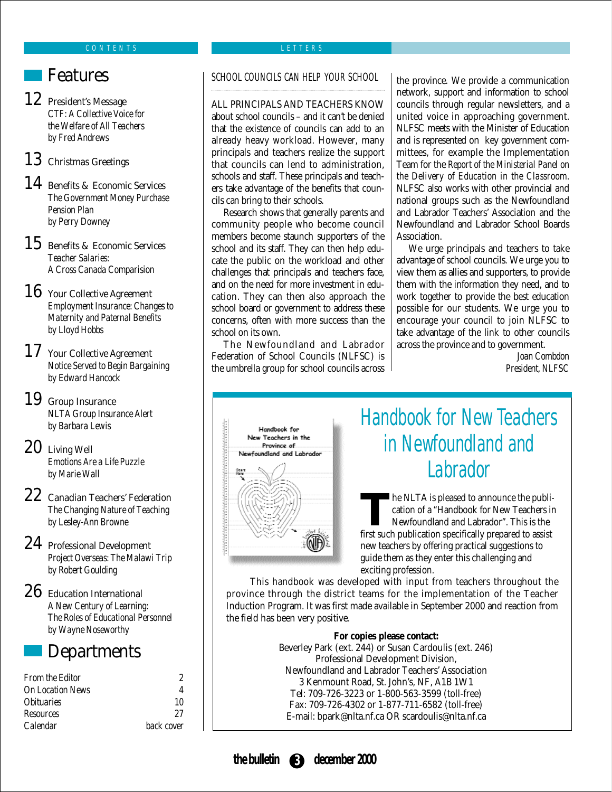### **Features**

### 12 President's Message

*CTF: A Collective Voice for the Welfare of All Teachers by Fred Andrews*

### 13 Christmas Greetings

#### 14 Benefits & Economic Services *The Government Money Purchase Pension Plan by Perry Downey*

15 Benefits & Economic Services *Teacher Salaries: A Cross Canada Comparision*

### 16 Your Collective Agreement

*Employment Insurance: Changes to Maternity and Paternal Benefits by Lloyd Hobbs*

### 17 Your Collective Agreement

*Notice Served to Begin Bargaining by Edward Hancock*

## 19 Group Insurance

*NLTA Group Insurance Alert by Barbara Lewis*

### 20 Living Well

*Emotions Are a Life Puzzle by Marie Wall*

- 22 Canadian Teachers' Federation *The Changing Nature of Teaching by Lesley-Ann Browne*
- 24 Professional Development *Project Overseas: The Malawi Trip by Robert Goulding*
- 26 Education International

*A New Century of Learning: The Roles of Educational Personnel by Wayne Noseworthy*

### **Departments**

| <b>From the Editor</b>   |            |
|--------------------------|------------|
| <b>On Location News</b>  |            |
| <i><b>Obituaries</b></i> | 10         |
| <b>Resources</b>         | 97         |
| Calendar                 | back cover |

#### LETTERS

#### SCHOOL COUNCILS CAN HELP YOUR SCHOOL

ALL PRINCIPALS AND TEACHERS KNOW about school councils – and it can't be denied that the existence of councils can add to an already heavy workload. However, many principals and teachers realize the support that councils can lend to administration, schools and staff. These principals and teachers take advantage of the benefits that councils can bring to their schools.

Research shows that generally parents and community people who become council members become staunch supporters of the school and its staff. They can then help educate the public on the workload and other challenges that principals and teachers face, and on the need for more investment in education. They can then also approach the school board or government to address these concerns, often with more success than the school on its own.

The Newfoundland and Labrador Federation of School Councils (NLFSC) is the umbrella group for school councils across

the province. We provide a communication network, support and information to school councils through regular newsletters, and a united voice in approaching government. NLFSC meets with the Minister of Education and is represented on key government committees, for example the Implementation Team for the *Report of the Ministerial Panel on the Delivery of Education in the Classroom*. NLFSC also works with other provincial and national groups such as the Newfoundland and Labrador Teachers' Association and the Newfoundland and Labrador School Boards Association.

We urge principals and teachers to take advantage of school councils. We urge you to view them as allies and supporters, to provide them with the information they need, and to work together to provide the best education possible for our students. We urge you to encourage your council to join NLFSC to take advantage of the link to other councils across the province and to government.

> *Joan Combdon President, NLFSC*



## Handbook for New Teachers in Newfoundland and Labrador

The NLTA is pleased to announce the publication of a "Handbook for New Teachers in Newfoundland and Labrador". This is the first such publication specifically propered to assist cation of a "Handbook for New Teachers in first such publication specifically prepared to assist new teachers by offering practical suggestions to guide them as they enter this challenging and exciting profession.

This handbook was developed with input from teachers throughout the province through the district teams for the implementation of the Teacher Induction Program. It was first made available in September 2000 and reaction from the field has been very positive.

> **For copies please contact:** Beverley Park (ext. 244) or Susan Cardoulis (ext. 246) Professional Development Division, Newfoundland and Labrador Teachers' Association 3 Kenmount Road, St. John's, NF, A1B 1W1 Tel: 709-726-3223 or 1-800-563-3599 (toll-free) Fax: 709-726-4302 or 1-877-711-6582 (toll-free) E-mail: bpark@nlta.nf.ca OR scardoulis@nlta.nf.ca

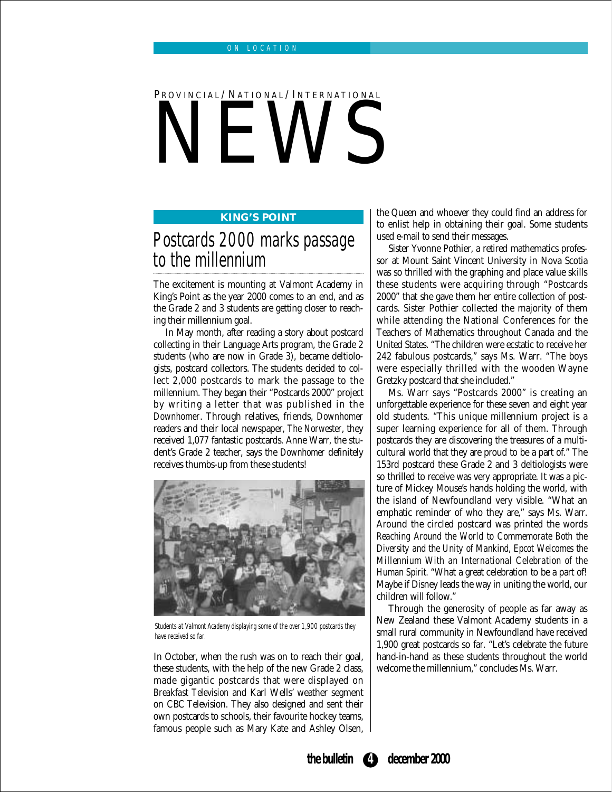## PROVINCIAL/NATIONAL/INTERNATIONAL NEWS

#### **KING'S POINT**

## Postcards 2000 marks passage to the millennium

The excitement is mounting at Valmont Academy in King's Point as the year 2000 comes to an end, and as the Grade 2 and 3 students are getting closer to reaching their millennium goal.

In May month, after reading a story about postcard collecting in their Language Arts program, the Grade 2 students (who are now in Grade 3), became deltiologists, postcard collectors. The students decided to collect 2,000 postcards to mark the passage to the millennium. They began their "Postcards 2000" project by writing a letter that was published in the *Downhomer*. Through relatives, friends, *Downhomer* readers and their local newspaper, *The Norwester*, they received 1,077 fantastic postcards. Anne Warr, the student's Grade 2 teacher, says the *Downhomer* definitely receives thumbs-up from these students!



Students at Valmont Academy displaying some of the over 1,900 postcards they have received so far.

In October, when the rush was on to reach their goal, these students, with the help of the new Grade 2 class, made gigantic postcards that were displayed on *Breakfast Television* and Karl Wells' weather segment on CBC Television. They also designed and sent their own postcards to schools, their favourite hockey teams, famous people such as Mary Kate and Ashley Olsen, the Queen and whoever they could find an address for to enlist help in obtaining their goal. Some students used e-mail to send their messages.

Sister Yvonne Pothier, a retired mathematics professor at Mount Saint Vincent University in Nova Scotia was so thrilled with the graphing and place value skills these students were acquiring through "Postcards 2000" that she gave them her entire collection of postcards. Sister Pothier collected the majority of them while attending the National Conferences for the Teachers of Mathematics throughout Canada and the United States. "The children were ecstatic to receive her 242 fabulous postcards," says Ms. Warr. "The boys were especially thrilled with the wooden Wayne Gretzky postcard that she included."

Ms. Warr says "Postcards 2000" is creating an unforgettable experience for these seven and eight year old students. "This unique millennium project is a super learning experience for all of them. Through postcards they are discovering the treasures of a multicultural world that they are proud to be a part of." The 153rd postcard these Grade 2 and 3 deltiologists were so thrilled to receive was very appropriate. It was a picture of Mickey Mouse's hands holding the world, with the island of Newfoundland very visible. "What an emphatic reminder of who they are," says Ms. Warr. Around the circled postcard was printed the words *Reaching Around the World to Commemorate Both the Diversity and the Unity of Mankind, Epcot Welcomes the Millennium With an International Celebration of the Human Spirit.* "What a great celebration to be a part of! Maybe if Disney leads the way in uniting the world, our children will follow."

Through the generosity of people as far away as New Zealand these Valmont Academy students in a small rural community in Newfoundland have received 1,900 great postcards so far. "Let's celebrate the future hand-in-hand as these students throughout the world welcome the millennium," concludes Ms. Warr.

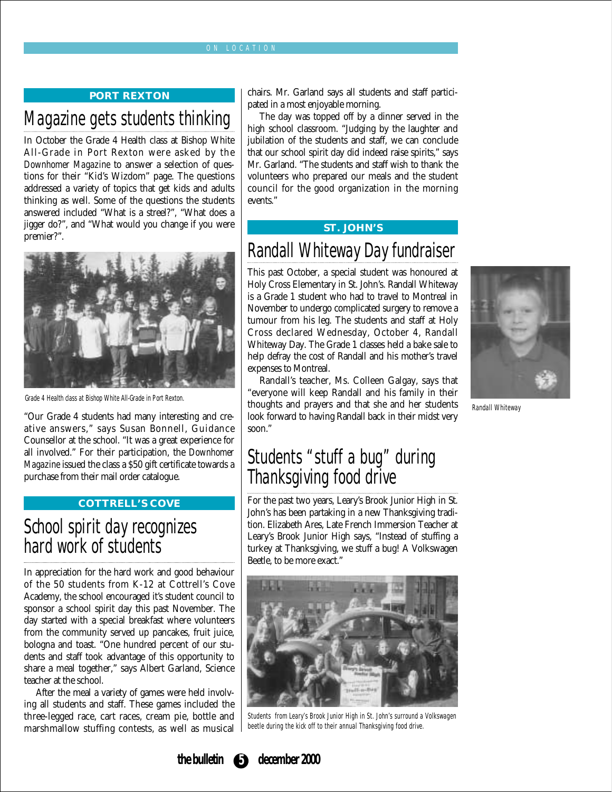#### ON LOCATION

#### **PORT REXTON**

## Magazine gets students thinking

In October the Grade 4 Health class at Bishop White All-Grade in Port Rexton were asked by the *Downhomer Magazine* to answer a selection of questions for their "Kid's Wizdom" page. The questions addressed a variety of topics that get kids and adults thinking as well. Some of the questions the students answered included "What is a streel?", "What does a jigger do?", and "What would you change if you were premier?".



Grade 4 Health class at Bishop White All-Grade in Port Rexton.

"Our Grade 4 students had many interesting and creative answers," says Susan Bonnell, Guidance Counsellor at the school. "It was a great experience for all involved." For their participation, the *Downhomer Magazine* issued the class a \$50 gift certificate towards a purchase from their mail order catalogue.

#### **COTTRELL'S COVE**

## School spirit day recognizes hard work of students

In appreciation for the hard work and good behaviour of the 50 students from K-12 at Cottrell's Cove Academy, the school encouraged it's student council to sponsor a school spirit day this past November. The day started with a special breakfast where volunteers from the community served up pancakes, fruit juice, bologna and toast. "One hundred percent of our students and staff took advantage of this opportunity to share a meal together," says Albert Garland, Science teacher at the school.

After the meal a variety of games were held involving all students and staff. These games included the three-legged race, cart races, cream pie, bottle and marshmallow stuffing contests, as well as musical

chairs. Mr. Garland says all students and staff participated in a most enjoyable morning.

The day was topped off by a dinner served in the high school classroom. "Judging by the laughter and jubilation of the students and staff, we can conclude that our school spirit day did indeed raise spirits," says Mr. Garland. "The students and staff wish to thank the volunteers who prepared our meals and the student council for the good organization in the morning events."

#### **ST. JOHN'S**

## Randall Whiteway Day fundraiser

This past October, a special student was honoured at Holy Cross Elementary in St. John's. Randall Whiteway is a Grade 1 student who had to travel to Montreal in November to undergo complicated surgery to remove a tumour from his leg. The students and staff at Holy Cross declared Wednesday, October 4, Randall Whiteway Day. The Grade 1 classes held a bake sale to help defray the cost of Randall and his mother's travel expenses to Montreal.

Randall's teacher, Ms. Colleen Galgay, says that "everyone will keep Randall and his family in their thoughts and prayers and that she and her students look forward to having Randall back in their midst very soon."



Randall Whiteway

## Students "stuff a bug" during Thanksgiving food drive

For the past two years, Leary's Brook Junior High in St. John's has been partaking in a new Thanksgiving tradition. Elizabeth Ares, Late French Immersion Teacher at Leary's Brook Junior High says, "Instead of stuffing a turkey at Thanksgiving, we stuff a bug! A Volkswagen Beetle, to be more exact."



Students from Leary's Brook Junior High in St. John's surround a Volkswagen beetle during the kick off to their annual Thanksgiving food drive.

**the bulletin 5 december 2000**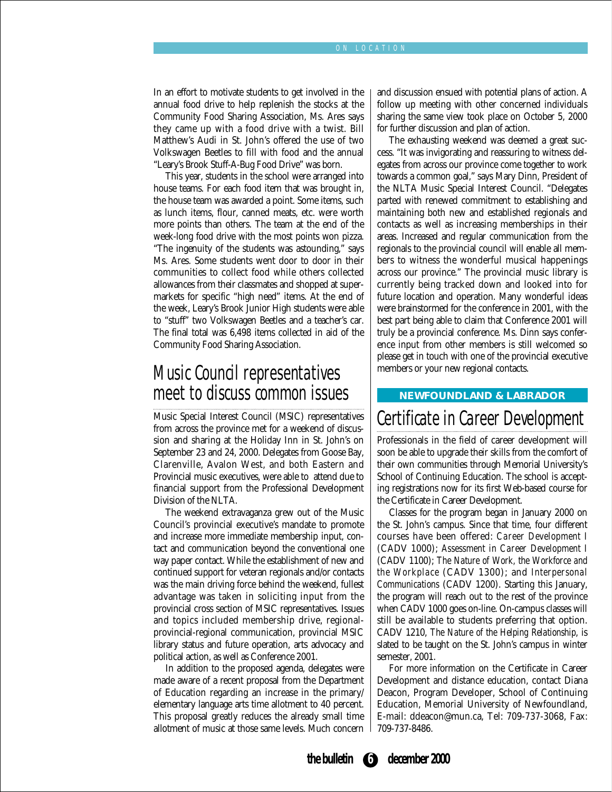In an effort to motivate students to get involved in the annual food drive to help replenish the stocks at the Community Food Sharing Association, Ms. Ares says they came up with a food drive with a twist. Bill Matthew's Audi in St. John's offered the use of two Volkswagen Beetles to fill with food and the annual "Leary's Brook Stuff-A-Bug Food Drive" was born.

This year, students in the school were arranged into house teams. For each food item that was brought in, the house team was awarded a point. Some items, such as lunch items, flour, canned meats, etc. were worth more points than others. The team at the end of the week-long food drive with the most points won pizza. "The ingenuity of the students was astounding," says Ms. Ares. Some students went door to door in their communities to collect food while others collected allowances from their classmates and shopped at supermarkets for specific "high need" items. At the end of the week, Leary's Brook Junior High students were able to "stuff" two Volkswagen Beetles and a teacher's car. The final total was 6,498 items collected in aid of the Community Food Sharing Association.

## Music Council representatives meet to discuss common issues

Music Special Interest Council (MSIC) representatives from across the province met for a weekend of discussion and sharing at the Holiday Inn in St. John's on September 23 and 24, 2000. Delegates from Goose Bay, Clarenville, Avalon West, and both Eastern and Provincial music executives, were able to attend due to financial support from the Professional Development Division of the NLTA.

The weekend extravaganza grew out of the Music Council's provincial executive's mandate to promote and increase more immediate membership input, contact and communication beyond the conventional one way paper contact. While the establishment of new and continued support for veteran regionals and/or contacts was the main driving force behind the weekend, fullest advantage was taken in soliciting input from the provincial cross section of MSIC representatives. Issues and topics included membership drive, regionalprovincial-regional communication, provincial MSIC library status and future operation, arts advocacy and political action, as well as Conference 2001.

In addition to the proposed agenda, delegates were made aware of a recent proposal from the Department of Education regarding an increase in the primary/ elementary language arts time allotment to 40 percent. This proposal greatly reduces the already small time allotment of music at those same levels. Much concern and discussion ensued with potential plans of action. A follow up meeting with other concerned individuals sharing the same view took place on October 5, 2000 for further discussion and plan of action.

The exhausting weekend was deemed a great success. "It was invigorating and reassuring to witness delegates from across our province come together to work towards a common goal," says Mary Dinn, President of the NLTA Music Special Interest Council. "Delegates parted with renewed commitment to establishing and maintaining both new and established regionals and contacts as well as increasing memberships in their areas. Increased and regular communication from the regionals to the provincial council will enable all members to witness the wonderful musical happenings across our province." The provincial music library is currently being tracked down and looked into for future location and operation. Many wonderful ideas were brainstormed for the conference in 2001, with the best part being able to claim that Conference 2001 will truly be a provincial conference. Ms. Dinn says conference input from other members is still welcomed so please get in touch with one of the provincial executive members or your new regional contacts.

#### **NEWFOUNDLAND & LABRADOR**

### Certificate in Career Development

Professionals in the field of career development will soon be able to upgrade their skills from the comfort of their own communities through Memorial University's School of Continuing Education. The school is accepting registrations now for its first Web-based course for the Certificate in Career Development.

Classes for the program began in January 2000 on the St. John's campus. Since that time, four different courses have been offered: *Career Development I* (CADV 1000); *Assessment in Career Development I* (CADV 1100); *The Nature of Work, the Workforce and the Workplace* (CADV 1300); and *Interpersonal Communications* (CADV 1200). Starting this January, the program will reach out to the rest of the province when CADV 1000 goes on-line. On-campus classes will still be available to students preferring that option. CADV 1210, *The Nature of the Helping Relationship*, is slated to be taught on the St. John's campus in winter semester, 2001.

For more information on the Certificate in Career Development and distance education, contact Diana Deacon, Program Developer, School of Continuing Education, Memorial University of Newfoundland, E-mail: ddeacon@mun.ca, Tel: 709-737-3068, Fax: 709-737-8486.

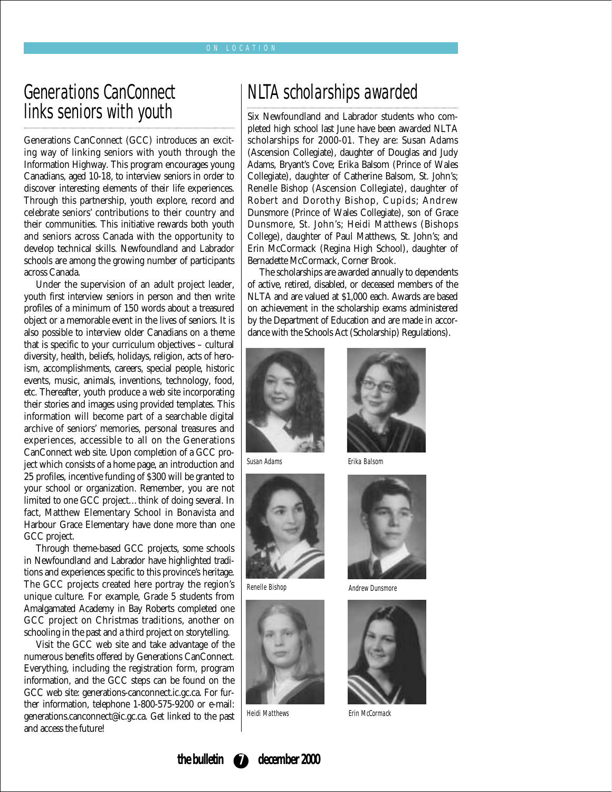#### ON LOCATION

## Generations CanConnect links seniors with youth

Generations CanConnect (GCC) introduces an exciting way of linking seniors with youth through the Information Highway. This program encourages young Canadians, aged 10-18, to interview seniors in order to discover interesting elements of their life experiences. Through this partnership, youth explore, record and celebrate seniors' contributions to their country and their communities. This initiative rewards both youth and seniors across Canada with the opportunity to develop technical skills. Newfoundland and Labrador schools are among the growing number of participants across Canada.

Under the supervision of an adult project leader, youth first interview seniors in person and then write profiles of a minimum of 150 words about a treasured object or a memorable event in the lives of seniors. It is also possible to interview older Canadians on a theme that is specific to your curriculum objectives – cultural diversity, health, beliefs, holidays, religion, acts of heroism, accomplishments, careers, special people, historic events, music, animals, inventions, technology, food, etc. Thereafter, youth produce a web site incorporating their stories and images using provided templates. This information will become part of a searchable digital archive of seniors' memories, personal treasures and experiences, accessible to all on the Generations CanConnect web site. Upon completion of a GCC project which consists of a home page, an introduction and 25 profiles, incentive funding of \$300 will be granted to your school or organization. Remember, you are not limited to one GCC project…think of doing several. In fact, Matthew Elementary School in Bonavista and Harbour Grace Elementary have done more than one GCC project.

Through theme-based GCC projects, some schools in Newfoundland and Labrador have highlighted traditions and experiences specific to this province's heritage. The GCC projects created here portray the region's unique culture. For example, Grade 5 students from Amalgamated Academy in Bay Roberts completed one GCC project on Christmas traditions, another on schooling in the past and a third project on storytelling.

Visit the GCC web site and take advantage of the numerous benefits offered by Generations CanConnect. Everything, including the registration form, program information, and the GCC steps can be found on the GCC web site: generations-canconnect.ic.gc.ca. For further information, telephone 1-800-575-9200 or e-mail: generations.canconnect@ic.gc.ca. Get linked to the past and access the future!

## NLTA scholarships awarded

Six Newfoundland and Labrador students who completed high school last June have been awarded NLTA scholarships for 2000-01. They are: Susan Adams (Ascension Collegiate), daughter of Douglas and Judy Adams, Bryant's Cove; Erika Balsom (Prince of Wales Collegiate), daughter of Catherine Balsom, St. John's; Renelle Bishop (Ascension Collegiate), daughter of Robert and Dorothy Bishop, Cupids; Andrew Dunsmore (Prince of Wales Collegiate), son of Grace Dunsmore, St. John's; Heidi Matthews (Bishops College), daughter of Paul Matthews, St. John's; and Erin McCormack (Regina High School), daughter of Bernadette McCormack, Corner Brook.

The scholarships are awarded annually to dependents of active, retired, disabled, or deceased members of the NLTA and are valued at \$1,000 each. Awards are based on achievement in the scholarship exams administered by the Department of Education and are made in accordance with the Schools Act (Scholarship) Regulations).



Susan Adams



Renelle Bishop



Heidi Matthews



Erika Balsom



Andrew Dunsmore



Erin McCormack

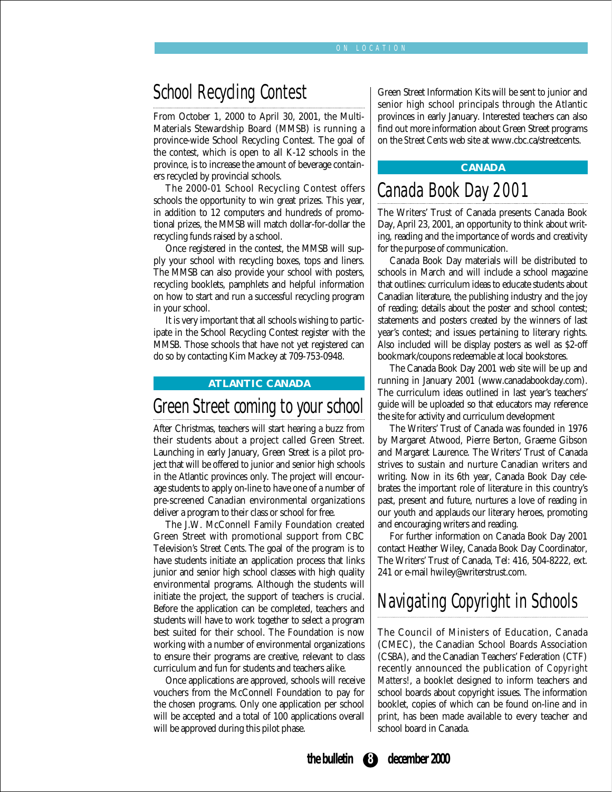## School Recycling Contest

From October 1, 2000 to April 30, 2001, the Multi-Materials Stewardship Board (MMSB) is running a province-wide School Recycling Contest. The goal of the contest, which is open to all K-12 schools in the province, is to increase the amount of beverage containers recycled by provincial schools.

The 2000-01 School Recycling Contest offers schools the opportunity to win great prizes. This year, in addition to 12 computers and hundreds of promotional prizes, the MMSB will match dollar-for-dollar the recycling funds raised by a school.

Once registered in the contest, the MMSB will supply your school with recycling boxes, tops and liners. The MMSB can also provide your school with posters, recycling booklets, pamphlets and helpful information on how to start and run a successful recycling program in your school.

It is very important that all schools wishing to participate in the School Recycling Contest register with the MMSB. Those schools that have not yet registered can do so by contacting Kim Mackey at 709-753-0948.

#### **ATLANTIC CANADA**

### Green Street coming to your school

After Christmas, teachers will start hearing a buzz from their students about a project called Green Street. Launching in early January, Green Street is a pilot project that will be offered to junior and senior high schools in the Atlantic provinces only. The project will encourage students to apply on-line to have one of a number of pre-screened Canadian environmental organizations deliver a program to their class or school for free.

The J.W. McConnell Family Foundation created Green Street with promotional support from CBC Television's *Street Cents*. The goal of the program is to have students initiate an application process that links junior and senior high school classes with high quality environmental programs. Although the students will initiate the project, the support of teachers is crucial. Before the application can be completed, teachers and students will have to work together to select a program best suited for their school. The Foundation is now working with a number of environmental organizations to ensure their programs are creative, relevant to class curriculum and fun for students and teachers alike.

Once applications are approved, schools will receive vouchers from the McConnell Foundation to pay for the chosen programs. Only one application per school will be accepted and a total of 100 applications overall will be approved during this pilot phase.

Green Street Information Kits will be sent to junior and senior high school principals through the Atlantic provinces in early January. Interested teachers can also find out more information about Green Street programs on the *Street Cents* web site at www.cbc.ca/streetcents.

#### **CANADA**

### Canada Book Day 2001

The Writers' Trust of Canada presents Canada Book Day, April 23, 2001, an opportunity to think about writing, reading and the importance of words and creativity for the purpose of communication.

Canada Book Day materials will be distributed to schools in March and will include a school magazine that outlines: curriculum ideas to educate students about Canadian literature, the publishing industry and the joy of reading; details about the poster and school contest; statements and posters created by the winners of last year's contest; and issues pertaining to literary rights. Also included will be display posters as well as \$2-off bookmark/coupons redeemable at local bookstores.

The Canada Book Day 2001 web site will be up and running in January 2001 (www.canadabookday.com). The curriculum ideas outlined in last year's teachers' guide will be uploaded so that educators may reference the site for activity and curriculum development

The Writers' Trust of Canada was founded in 1976 by Margaret Atwood, Pierre Berton, Graeme Gibson and Margaret Laurence. The Writers' Trust of Canada strives to sustain and nurture Canadian writers and writing. Now in its 6th year, Canada Book Day celebrates the important role of literature in this country's past, present and future, nurtures a love of reading in our youth and applauds our literary heroes, promoting and encouraging writers and reading.

For further information on Canada Book Day 2001 contact Heather Wiley, Canada Book Day Coordinator, The Writers' Trust of Canada, Tel: 416, 504-8222, ext. 241 or e-mail hwiley@writerstrust.com.

## Navigating Copyright in Schools

The Council of Ministers of Education, Canada (CMEC), the Canadian School Boards Association (CSBA), and the Canadian Teachers' Federation (CTF) recently announced the publication of *Copyright Matters!*, a booklet designed to inform teachers and school boards about copyright issues. The information booklet, copies of which can be found on-line and in print, has been made available to every teacher and school board in Canada.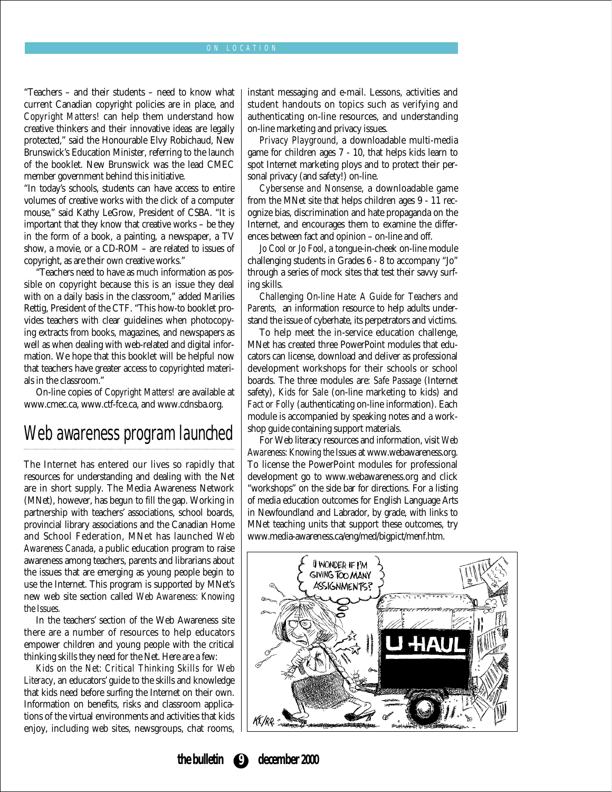#### ON LOCATION

"Teachers – and their students – need to know what current Canadian copyright policies are in place, and *Copyright Matters!* can help them understand how creative thinkers and their innovative ideas are legally protected," said the Honourable Elvy Robichaud, New Brunswick's Education Minister, referring to the launch of the booklet. New Brunswick was the lead CMEC member government behind this initiative.

"In today's schools, students can have access to entire volumes of creative works with the click of a computer mouse," said Kathy LeGrow, President of CSBA. "It is important that they know that creative works – be they in the form of a book, a painting, a newspaper, a TV show, a movie, or a CD-ROM – are related to issues of copyright, as are their own creative works."

"Teachers need to have as much information as possible on copyright because this is an issue they deal with on a daily basis in the classroom," added Marilies Rettig, President of the CTF. "This how-to booklet provides teachers with clear guidelines when photocopying extracts from books, magazines, and newspapers as well as when dealing with web-related and digital information. We hope that this booklet will be helpful now that teachers have greater access to copyrighted materials in the classroom."

On-line copies of *Copyright Matters!* are available at www.cmec.ca, www.ctf-fce.ca, and www.cdnsba.org.

## Web awareness program launched

The Internet has entered our lives so rapidly that resources for understanding and dealing with the Net are in short supply. The Media Awareness Network (MNet), however, has begun to fill the gap. Working in partnership with teachers' associations, school boards, provincial library associations and the Canadian Home and School Federation, MNet has launched *Web Awareness Canada*, a public education program to raise awareness among teachers, parents and librarians about the issues that are emerging as young people begin to use the Internet. This program is supported by MNet's new web site section called *Web Awareness: Knowing the Issues.*

In the teachers' section of the Web Awareness site there are a number of resources to help educators empower children and young people with the critical thinking skills they need for the Net. Here are a few:

*Kids on the Net: Critical Thinking Skills for Web Literacy*, an educators' guide to the skills and knowledge that kids need before surfing the Internet on their own. Information on benefits, risks and classroom applications of the virtual environments and activities that kids enjoy, including web sites, newsgroups, chat rooms, instant messaging and e-mail. Lessons, activities and student handouts on topics such as verifying and authenticating on-line resources, and understanding on-line marketing and privacy issues.

*Privacy Playground*, a downloadable multi-media game for children ages 7 - 10, that helps kids learn to spot Internet marketing ploys and to protect their personal privacy (and safety!) on-line.

*Cybersense and Nonsense*, a downloadable game from the MNet site that helps children ages 9 - 11 recognize bias, discrimination and hate propaganda on the Internet, and encourages them to examine the differences between fact and opinion – on-line and off.

*Jo Cool or Jo Fool*, a tongue-in-cheek on-line module challenging students in Grades 6 - 8 to accompany "Jo" through a series of mock sites that test their savvy surfing skills.

*Challenging On-line Hate: A Guide for Teachers and Parents*, an information resource to help adults understand the issue of cyberhate, its perpetrators and victims.

To help meet the in-service education challenge, MNet has created three PowerPoint modules that educators can license, download and deliver as professional development workshops for their schools or school boards. The three modules are: *Safe Passage* (Internet safety), *Kids for Sale* (on-line marketing to kids) and *Fact or Folly* (authenticating on-line information). Each module is accompanied by speaking notes and a workshop guide containing support materials.

For Web literacy resources and information, visit *Web Awareness: Knowing the Issues* at www.webawareness.org. To license the PowerPoint modules for professional development go to www.webawareness.org and click "workshops" on the side bar for directions. For a listing of media education outcomes for English Language Arts in Newfoundland and Labrador, by grade, with links to MNet teaching units that support these outcomes, try www.media-awareness.ca/eng/med/bigpict/menf.htm.



#### **the bulletin 9 december 2000**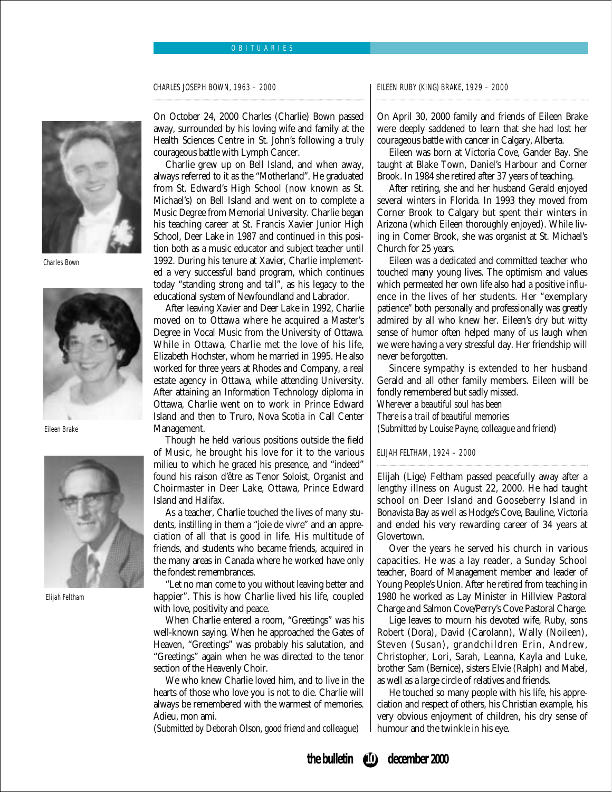#### OBITUARIES

CHARLES JOSEPH BOWN, 1963 – 2000



Charles Bown



Eileen Brake



Elijah Feltham

On October 24, 2000 Charles (Charlie) Bown passed away, surrounded by his loving wife and family at the Health Sciences Centre in St. John's following a truly courageous battle with Lymph Cancer.

Charlie grew up on Bell Island, and when away, always referred to it as the "Motherland". He graduated from St. Edward's High School (now known as St. Michael's) on Bell Island and went on to complete a Music Degree from Memorial University. Charlie began his teaching career at St. Francis Xavier Junior High School, Deer Lake in 1987 and continued in this position both as a music educator and subject teacher until 1992. During his tenure at Xavier, Charlie implemented a very successful band program, which continues today "standing strong and tall", as his legacy to the educational system of Newfoundland and Labrador.

After leaving Xavier and Deer Lake in 1992, Charlie moved on to Ottawa where he acquired a Master's Degree in Vocal Music from the University of Ottawa. While in Ottawa, Charlie met the love of his life, Elizabeth Hochster, whom he married in 1995. He also worked for three years at Rhodes and Company, a real estate agency in Ottawa, while attending University. After attaining an Information Technology diploma in Ottawa, Charlie went on to work in Prince Edward Island and then to Truro, Nova Scotia in Call Center Management.

Though he held various positions outside the field of Music, he brought his love for it to the various milieu to which he graced his presence, and "indeed" found his raison d'être as Tenor Soloist, Organist and Choirmaster in Deer Lake, Ottawa, Prince Edward Island and Halifax.

As a teacher, Charlie touched the lives of many students, instilling in them a "joie de vivre" and an appreciation of all that is good in life. His multitude of friends, and students who became friends, acquired in the many areas in Canada where he worked have only the fondest remembrances.

"Let no man come to you without leaving better and happier". This is how Charlie lived his life, coupled with love, positivity and peace.

When Charlie entered a room, "Greetings" was his well-known saying. When he approached the Gates of Heaven, "Greetings" was probably his salutation, and "Greetings" again when he was directed to the tenor section of the Heavenly Choir.

We who knew Charlie loved him, and to live in the hearts of those who love you is not to die. Charlie will always be remembered with the warmest of memories. Adieu, mon ami.

(*Submitted by Deborah Olson, good friend and colleague*)

EILEEN RUBY (KING) BRAKE, 1929 – 2000

On April 30, 2000 family and friends of Eileen Brake were deeply saddened to learn that she had lost her courageous battle with cancer in Calgary, Alberta.

Eileen was born at Victoria Cove, Gander Bay. She taught at Blake Town, Daniel's Harbour and Corner Brook. In 1984 she retired after 37 years of teaching.

After retiring, she and her husband Gerald enjoyed several winters in Florida. In 1993 they moved from Corner Brook to Calgary but spent their winters in Arizona (which Eileen thoroughly enjoyed). While living in Corner Brook, she was organist at St. Michael's Church for 25 years.

Eileen was a dedicated and committed teacher who touched many young lives. The optimism and values which permeated her own life also had a positive influence in the lives of her students. Her "exemplary patience" both personally and professionally was greatly admired by all who knew her. Eileen's dry but witty sense of humor often helped many of us laugh when we were having a very stressful day. Her friendship will never be forgotten.

Sincere sympathy is extended to her husband Gerald and all other family members. Eileen will be fondly remembered but sadly missed. *Wherever a beautiful soul has been There is a trail of beautiful memories* (*Submitted by Louise Payne, colleague and friend*)

#### ELIJAH FELTHAM, 1924 – 2000

Elijah (Lige) Feltham passed peacefully away after a lengthy illness on August 22, 2000. He had taught school on Deer Island and Gooseberry Island in Bonavista Bay as well as Hodge's Cove, Bauline, Victoria and ended his very rewarding career of 34 years at Glovertown.

Over the years he served his church in various capacities. He was a lay reader, a Sunday School teacher, Board of Management member and leader of Young People's Union. After he retired from teaching in 1980 he worked as Lay Minister in Hillview Pastoral Charge and Salmon Cove/Perry's Cove Pastoral Charge.

Lige leaves to mourn his devoted wife, Ruby, sons Robert (Dora), David (Carolann), Wally (Noileen), Steven (Susan), grandchildren Erin, Andrew, Christopher, Lori, Sarah, Leanna, Kayla and Luke, brother Sam (Bernice), sisters Elvie (Ralph) and Mabel, as well as a large circle of relatives and friends.

He touched so many people with his life, his appreciation and respect of others, his Christian example, his very obvious enjoyment of children, his dry sense of humour and the twinkle in his eye.

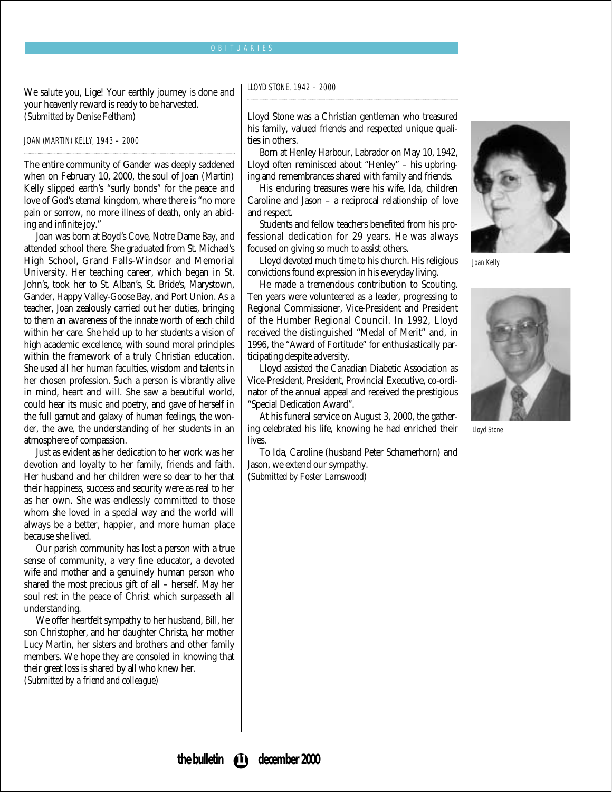#### OBITUARIES

We salute you, Lige! Your earthly journey is done and your heavenly reward is ready to be harvested. (*Submitted by Denise Feltham*)

JOAN (MARTIN) KELLY, 1943 – 2000

The entire community of Gander was deeply saddened when on February 10, 2000, the soul of Joan (Martin) Kelly slipped earth's "surly bonds" for the peace and love of God's eternal kingdom, where there is "no more pain or sorrow, no more illness of death, only an abiding and infinite joy."

Joan was born at Boyd's Cove, Notre Dame Bay, and attended school there. She graduated from St. Michael's High School, Grand Falls-Windsor and Memorial University. Her teaching career, which began in St. John's, took her to St. Alban's, St. Bride's, Marystown, Gander, Happy Valley-Goose Bay, and Port Union. As a teacher, Joan zealously carried out her duties, bringing to them an awareness of the innate worth of each child within her care. She held up to her students a vision of high academic excellence, with sound moral principles within the framework of a truly Christian education. She used all her human faculties, wisdom and talents in her chosen profession. Such a person is vibrantly alive in mind, heart and will. She saw a beautiful world, could hear its music and poetry, and gave of herself in the full gamut and galaxy of human feelings, the wonder, the awe, the understanding of her students in an atmosphere of compassion.

Just as evident as her dedication to her work was her devotion and loyalty to her family, friends and faith. Her husband and her children were so dear to her that their happiness, success and security were as real to her as her own. She was endlessly committed to those whom she loved in a special way and the world will always be a better, happier, and more human place because she lived.

Our parish community has lost a person with a true sense of community, a very fine educator, a devoted wife and mother and a genuinely human person who shared the most precious gift of all – herself. May her soul rest in the peace of Christ which surpasseth all understanding.

We offer heartfelt sympathy to her husband, Bill, her son Christopher, and her daughter Christa, her mother Lucy Martin, her sisters and brothers and other family members. We hope they are consoled in knowing that their great loss is shared by all who knew her. (*Submitted by a friend and colleague*)

LLOYD STONE, 1942 – 2000

Lloyd Stone was a Christian gentleman who treasured his family, valued friends and respected unique qualities in others.

Born at Henley Harbour, Labrador on May 10, 1942, Lloyd often reminisced about "Henley" – his upbringing and remembrances shared with family and friends.

His enduring treasures were his wife, Ida, children Caroline and Jason – a reciprocal relationship of love and respect.

Students and fellow teachers benefited from his professional dedication for 29 years. He was always focused on giving so much to assist others.

Lloyd devoted much time to his church. His religious convictions found expression in his everyday living.

He made a tremendous contribution to Scouting. Ten years were volunteered as a leader, progressing to Regional Commissioner, Vice-President and President of the Humber Regional Council. In 1992, Lloyd received the distinguished "Medal of Merit" and, in 1996, the "Award of Fortitude" for enthusiastically participating despite adversity.

Lloyd assisted the Canadian Diabetic Association as Vice-President, President, Provincial Executive, co-ordinator of the annual appeal and received the prestigious "Special Dedication Award".

At his funeral service on August 3, 2000, the gathering celebrated his life, knowing he had enriched their lives.

To Ida, Caroline (husband Peter Schamerhorn) and Jason, we extend our sympathy.

(*Submitted by Foster Lamswood*)



Joan Kelly



Lloyd Stone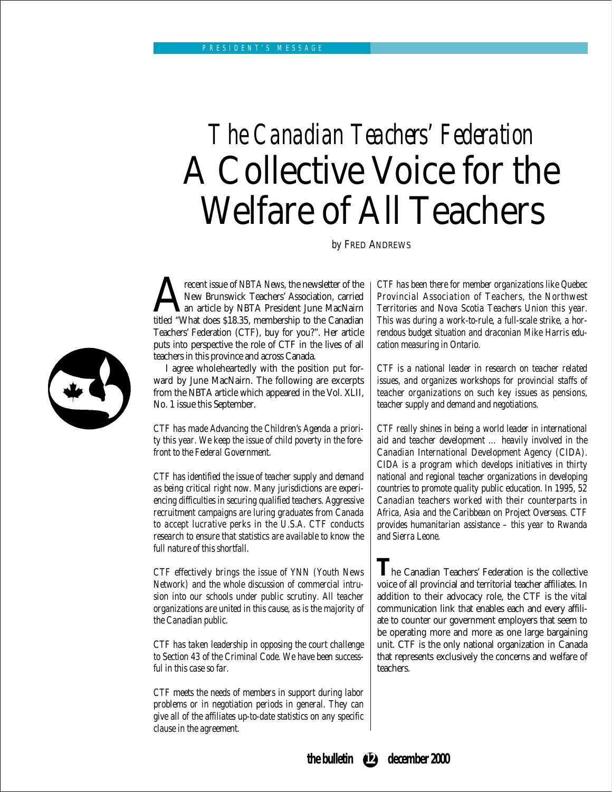## *The Canadian Teachers' Federation* A Collective Voice for the Welfare of All Teachers

*by* FRED ANDREWS

**Algebrary School Start** issue of *NBTA News*, the newsletter of the New Brunswick Teachers' Association, carried an article by NBTA President June MacNairn titled "What does \$18.35, membership to the Canadian New Brunswick Teachers' Association, carried an article by NBTA President June MacNairn Teachers' Federation (CTF), buy for you?". Her article puts into perspective the role of CTF in the lives of all teachers in this province and across Canada.

I agree wholeheartedly with the position put forward by June MacNairn. The following are excerpts from the NBTA article which appeared in the Vol. XLII, No. 1 issue this September.

*CTF has made Advancing the Children's Agenda a priority this year. We keep the issue of child poverty in the forefront to the Federal Government.*

*CTF has identified the issue of teacher supply and demand as being critical right now. Many jurisdictions are experiencing difficulties in securing qualified teachers. Aggressive recruitment campaigns are luring graduates from Canada to accept lucrative perks in the U.S.A. CTF conducts research to ensure that statistics are available to know the full nature of this shortfall.*

*CTF effectively brings the issue of YNN (Youth News Network) and the whole discussion of commercial intrusion into our schools under public scrutiny. All teacher organizations are united in this cause, as is the majority of the Canadian public.*

*CTF has taken leadership in opposing the court challenge to Section 43 of the Criminal Code. We have been successful in this case so far.*

*CTF meets the needs of members in support during labor problems or in negotiation periods in general. They can give all of the affiliates up-to-date statistics on any specific clause in the agreement.*

*CTF has been there for member organizations like Quebec Provincial Association of Teachers, the Northwest Territories and Nova Scotia Teachers Union this year. This was during a work-to-rule, a full-scale strike, a horrendous budget situation and draconian Mike Harris education measuring in Ontario.*

*CTF is a national leader in research on teacher related issues, and organizes workshops for provincial staffs of teacher organizations on such key issues as pensions, teacher supply and demand and negotiations.*

*CTF really shines in being a world leader in international aid and teacher development … heavily involved in the Canadian International Development Agency (CIDA). CIDA is a program which develops initiatives in thirty national and regional teacher organizations in developing countries to promote quality public education. In 1995, 52 Canadian teachers worked with their counterparts in Africa, Asia and the Caribbean on Project Overseas. CTF provides humanitarian assistance – this year to Rwanda and Sierra Leone.*

The Canadian Teachers' Federation is the collective voice of all provincial and territorial teacher affiliates. In addition to their advocacy role, the CTF is the vital communication link that enables each and every affiliate to counter our government employers that seem to be operating more and more as one large bargaining unit. CTF is the only national organization in Canada that represents exclusively the concerns and welfare of teachers.



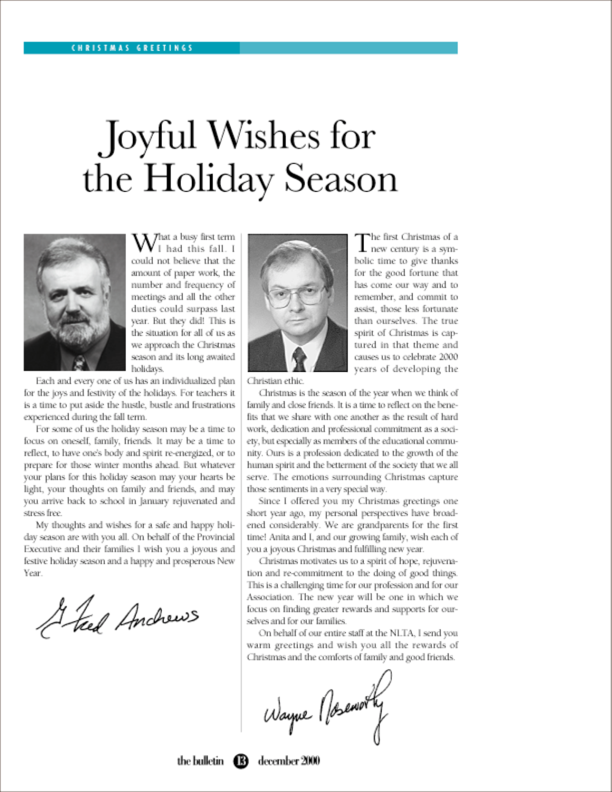## Joyful Wishes for the Holiday Season



 $\mathcal{N}$  hat a busy first term I had this fall. I could not believe that the amount of paper work, the number and frequency of meetings and all the other duties could surpass last year. But they did! This is the situation for all of us as we approach the Christmas season and its long awaited holidays.

Each and every one of us has an individualized plan for the joys and festivity of the holidays. For teachers it is a time to put aside the hustle, bustle and frustrations experienced during the fall term.

For some of us the holiday season may be a time to focus on oneself, family, friends. It may be a time to reflect, to have one's body and spirit re-energized, or to prepare for those winter months ahead. But whatever your plans for this holiday season may your hearts be light, your thoughts on family and friends, and may you arrive back to school in January rejuvenated and stress free.

My thoughts and wishes for a safe and happy holiday season are with you all. On behalf of the Provincial Executive and their families I wish you a joyous and festive holiday season and a happy and prosperous New Year.

Glad Anchews



The first Christmas of a I new century is a symbolic time to give thanks for the good fortune that has come our way and to remember, and commit to assist, those less fortunate than ourselves. The true spirit of Christmas is captured in that theme and causes us to celebrate 2000 years of developing the

Christian ethic.

Christmas is the season of the year when we think of family and close friends. It is a time to reflect on the benefits that we share with one another as the result of hard work, dedication and professional commitment as a society, but especially as members of the educational community. Ours is a profession dedicated to the growth of the human spirit and the betterment of the society that we all serve. The emotions surrounding Christmas capture those sentiments in a very special way.

Since I offered you my Christmas greetings one short year ago, my personal perspectives have broadened considerably. We are grandparents for the first time! Anita and I, and our growing family, wish each of you a joyous Christmas and fulfilling new year.

Christmas motivates us to a spirit of hope, rejuvenation and re-commitment to the doing of good things. This is a challenging time for our profession and for our Association. The new year will be one in which we focus on finding greater rewards and supports for ourselves and for our families.

On behalf of our entire staff at the NLTA, I send you warm greetings and wish you all the rewards of Christmas and the comforts of family and good friends.

Wayne Nosemonty

the bulletin  $\bigcirc$ 

december 2000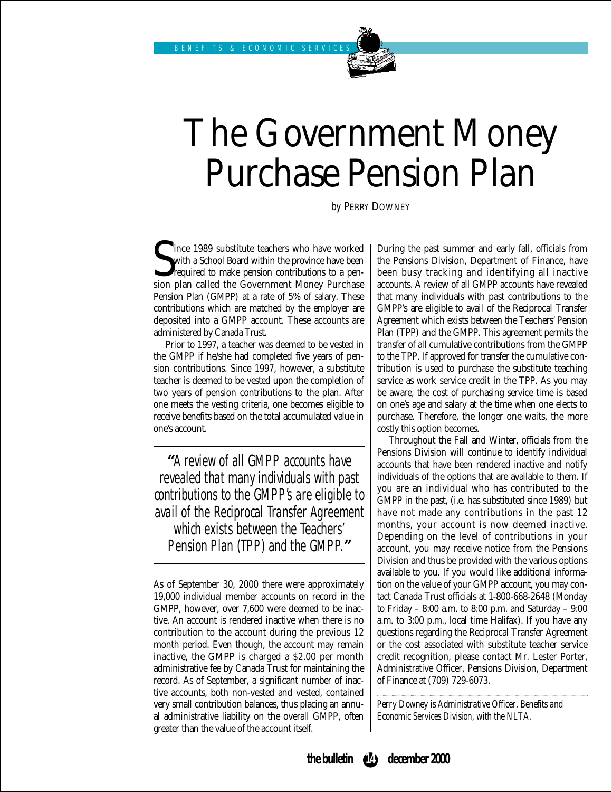## The Government Money Purchase Pension Plan

*by* PERRY DOWNEY

Since 1989 substitute teachers who have worked with a School Board within the province have been required to make pension contributions to a pension plan called the Government Money Purchase ince 1989 substitute teachers who have worked with a School Board within the province have been required to make pension contributions to a pen-Pension Plan (GMPP) at a rate of 5% of salary. These contributions which are matched by the employer are deposited into a GMPP account. These accounts are administered by Canada Trust.

Prior to 1997, a teacher was deemed to be vested in the GMPP if he/she had completed five years of pension contributions. Since 1997, however, a substitute teacher is deemed to be vested upon the completion of two years of pension contributions to the plan. After one meets the vesting criteria, one becomes eligible to receive benefits based on the total accumulated value in one's account.

**"**A review of all GMPP accounts have revealed that many individuals with past contributions to the GMPP's are eligible to avail of the Reciprocal Transfer Agreement which exists between the Teachers' Pension Plan (TPP) and the GMPP.**"**

As of September 30, 2000 there were approximately 19,000 individual member accounts on record in the GMPP, however, over 7,600 were deemed to be inactive. An account is rendered inactive when there is no contribution to the account during the previous 12 month period. Even though, the account may remain inactive, the GMPP is charged a \$2.00 per month administrative fee by Canada Trust for maintaining the record. As of September, a significant number of inactive accounts, both non-vested and vested, contained very small contribution balances, thus placing an annual administrative liability on the overall GMPP, often greater than the value of the account itself.

During the past summer and early fall, officials from the Pensions Division, Department of Finance, have been busy tracking and identifying all inactive accounts. A review of all GMPP accounts have revealed that many individuals with past contributions to the GMPP's are eligible to avail of the Reciprocal Transfer Agreement which exists between the Teachers' Pension Plan (TPP) and the GMPP. This agreement permits the transfer of all cumulative contributions from the GMPP to the TPP. If approved for transfer the cumulative contribution is used to purchase the substitute teaching service as work service credit in the TPP. As you may be aware, the cost of purchasing service time is based on one's age and salary at the time when one elects to purchase. Therefore, the longer one waits, the more costly this option becomes.

Throughout the Fall and Winter, officials from the Pensions Division will continue to identify individual accounts that have been rendered inactive and notify individuals of the options that are available to them. If you are an individual who has contributed to the GMPP in the past, (i.e. has substituted since 1989) but have not made any contributions in the past 12 months, your account is now deemed inactive. Depending on the level of contributions in your account, you may receive notice from the Pensions Division and thus be provided with the various options available to you. If you would like additional information on the value of your GMPP account, you may contact Canada Trust officials at 1-800-668-2648 (Monday to Friday – 8:00 a.m. to 8:00 p.m. and Saturday – 9:00 a.m. to 3:00 p.m., local time Halifax). If you have any questions regarding the Reciprocal Transfer Agreement or the cost associated with substitute teacher service credit recognition, please contact Mr. Lester Porter, Administrative Officer, Pensions Division, Department of Finance at (709) 729-6073.

*Perry Downey is Administrative Officer, Benefits and Economic Services Division, with the NLTA.*

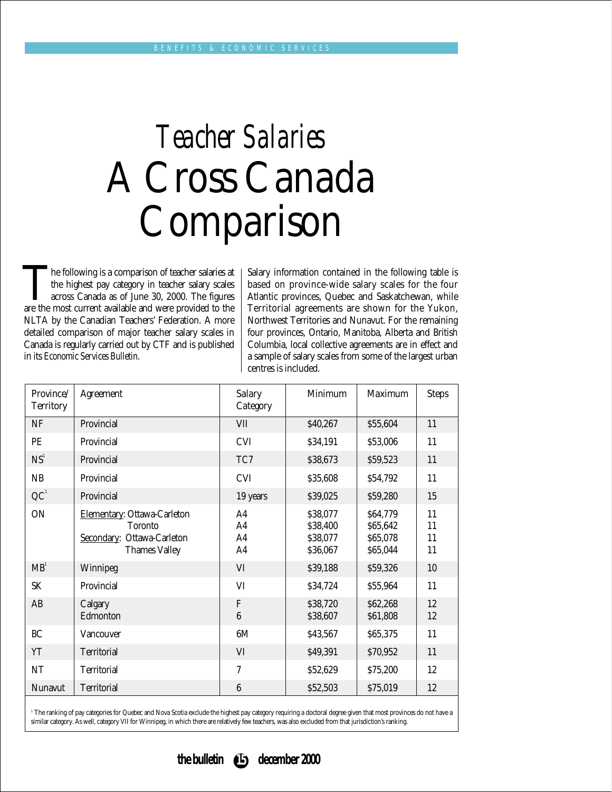## *Teacher Salaries* A Cross Canada Comparison

The following is a comparison of teacher salaries at the highest pay category in teacher salary scales across Canada as of June 30, 2000. The figures are the most current available and were provided to the the highest pay category in teacher salary scales across Canada as of June 30, 2000. The figures NLTA by the Canadian Teachers' Federation. A more detailed comparison of major teacher salary scales in Canada is regularly carried out by CTF and is published in its *Economic Services Bulletin*.

Salary information contained in the following table is based on province-wide salary scales for the four Atlantic provinces, Quebec and Saskatchewan, while Territorial agreements are shown for the Yukon, Northwest Territories and Nunavut. For the remaining four provinces, Ontario, Manitoba, Alberta and British Columbia, local collective agreements are in effect and a sample of salary scales from some of the largest urban centres is included.

| <b>Province</b><br><b>Territory</b> | <b>Agreement</b>                                                                                    | <b>Salary</b><br><b>Category</b>             | <b>Minimum</b>                               | <b>Maximum</b>                               | <b>Steps</b>         |
|-------------------------------------|-----------------------------------------------------------------------------------------------------|----------------------------------------------|----------------------------------------------|----------------------------------------------|----------------------|
| NF                                  | Provincial                                                                                          | VII                                          | \$40,267                                     | \$55,604                                     | 11                   |
| PE                                  | Provincial                                                                                          | <b>CVI</b>                                   | \$34,191                                     | \$53,006                                     | 11                   |
| NS <sup>1</sup>                     | Provincial                                                                                          | TC7                                          | \$38,673                                     | \$59,523                                     | 11                   |
| NB                                  | Provincial                                                                                          | <b>CVI</b>                                   | \$35,608                                     | \$54,792                                     | 11                   |
| QC <sup>1</sup>                     | Provincial                                                                                          | 19 years                                     | \$39,025                                     | \$59,280                                     | 15                   |
| ON                                  | Elementary: Ottawa-Carleton<br><b>Toronto</b><br>Secondary: Ottawa-Carleton<br><b>Thames Valley</b> | A4<br>A4<br>A <sub>4</sub><br>A <sub>4</sub> | \$38,077<br>\$38,400<br>\$38,077<br>\$36,067 | \$64,779<br>\$65,642<br>\$65,078<br>\$65,044 | 11<br>11<br>11<br>11 |
| MB <sup>1</sup>                     | Winnipeg                                                                                            | VI                                           | \$39,188                                     | \$59,326                                     | 10                   |
| <b>SK</b>                           | Provincial                                                                                          | VI                                           | \$34,724                                     | \$55,964                                     | 11                   |
| AB                                  | Calgary<br>Edmonton                                                                                 | $\mathbf{F}$<br>$6\phantom{1}6$              | \$38,720<br>\$38,607                         | \$62,268<br>\$61,808                         | 12<br>12             |
| <b>BC</b>                           | Vancouver                                                                                           | 6M                                           | \$43,567                                     | \$65,375                                     | 11                   |
| YT                                  | <b>Territorial</b>                                                                                  | VI                                           | \$49,391                                     | \$70,952                                     | 11                   |
| NT                                  | <b>Territorial</b>                                                                                  | $\overline{7}$                               | \$52,629                                     | \$75,200                                     | 12                   |
| Nunavut                             | <b>Territorial</b>                                                                                  | $6\phantom{1}6$                              | \$52,503                                     | \$75,019                                     | 12                   |
|                                     |                                                                                                     |                                              |                                              |                                              |                      |

<sup>1</sup> The ranking of pay categories for Quebec and Nova Scotia exclude the highest pay category requiring a doctoral degree given that most provinces do not have a similar category. As well, category VII for Winnipeg, in which there are relatively few teachers, was also excluded from that jurisdiction's ranking.

#### **the bulletin 15 december 2000**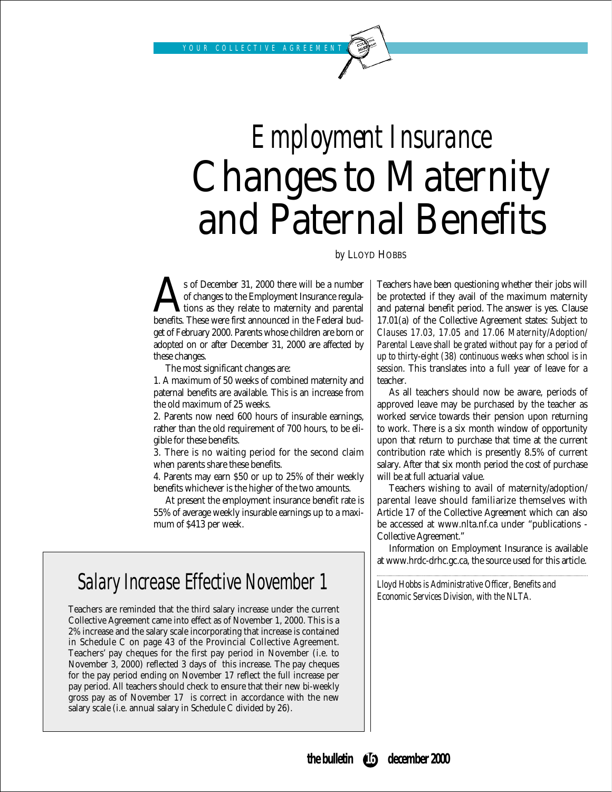## *Employment Insurance* Changes to Maternity and Paternal Benefits

*by* LLOYD HOBBS

s of December 31, 2000 there will be a number<br>of changes to the Employment Insurance regula-<br>benefits. These were first announced in the Federal budof changes to the Employment Insurance regulations as they relate to maternity and parental benefits. These were first announced in the Federal budget of February 2000. Parents whose children are born or adopted on or after December 31, 2000 are affected by these changes.

The most significant changes are:

1. A maximum of 50 weeks of combined maternity and paternal benefits are available. This is an increase from the old maximum of 25 weeks.

2. Parents now need 600 hours of insurable earnings, rather than the old requirement of 700 hours, to be eligible for these benefits.

3. There is no waiting period for the second claim when parents share these benefits.

4. Parents may earn \$50 or up to 25% of their weekly benefits whichever is the higher of the two amounts.

At present the employment insurance benefit rate is 55% of average weekly insurable earnings up to a maximum of \$413 per week.

## Salary Increase Effective November 1

Teachers are reminded that the third salary increase under the current Collective Agreement came into effect as of November 1, 2000. This is a 2% increase and the salary scale incorporating that increase is contained in Schedule C on page 43 of the Provincial Collective Agreement. Teachers' pay cheques for the first pay period in November (i.e. to November 3, 2000) reflected 3 days of this increase. The pay cheques for the pay period ending on November 17 reflect the full increase per pay period. All teachers should check to ensure that their new bi-weekly gross pay as of November 17 is correct in accordance with the new salary scale (i.e. annual salary in Schedule C divided by 26).

Teachers have been questioning whether their jobs will be protected if they avail of the maximum maternity and paternal benefit period. The answer is yes. Clause 17.01(a) of the Collective Agreement states: *Subject to Clauses 17.03, 17.05 and 17.06 Maternity/Adoption/ Parental Leave shall be grated without pay for a period of up to thirty-eight (38) continuous weeks when school is in session.* This translates into a full year of leave for a teacher.

As all teachers should now be aware, periods of approved leave may be purchased by the teacher as worked service towards their pension upon returning to work. There is a six month window of opportunity upon that return to purchase that time at the current contribution rate which is presently 8.5% of current salary. After that six month period the cost of purchase will be at full actuarial value.

Teachers wishing to avail of maternity/adoption/ parental leave should familiarize themselves with Article 17 of the Collective Agreement which can also be accessed at www.nlta.nf.ca under "publications - Collective Agreement."

Information on Employment Insurance is available at www.hrdc-drhc.gc.ca, the source used for this article.

*Lloyd Hobbs is Administrative Officer, Benefits and Economic Services Division, with the NLTA.*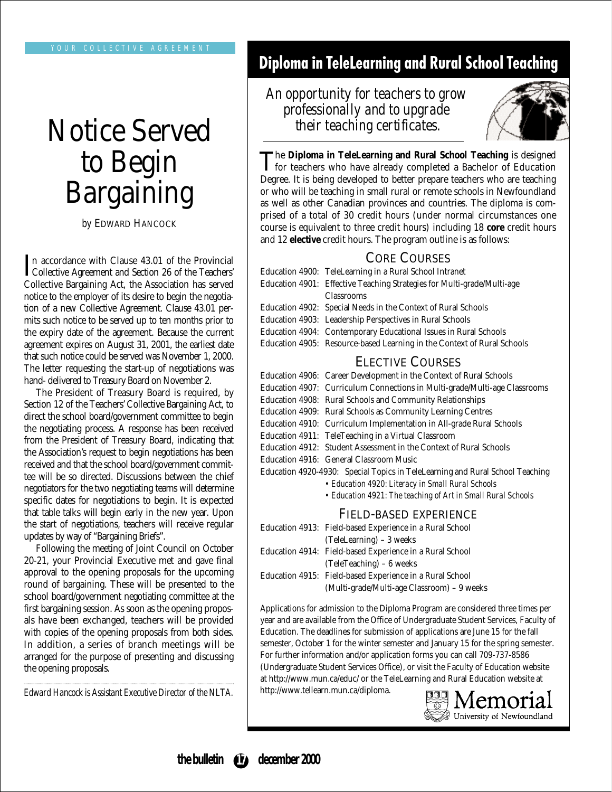## Notice Served to Begin Bargaining

*by* EDWARD HANCOCK

In accordance with Clause 43.01 of the Provincial<br>Collective Agreement and Section 26 of the Teachers' Collective Agreement and Section 26 of the Teachers' Collective Bargaining Act, the Association has served notice to the employer of its desire to begin the negotiation of a new Collective Agreement. Clause 43.01 permits such notice to be served up to ten months prior to the expiry date of the agreement. Because the current agreement expires on August 31, 2001, the earliest date that such notice could be served was November 1, 2000. The letter requesting the start-up of negotiations was hand- delivered to Treasury Board on November 2.

The President of Treasury Board is required, by Section 12 of the Teachers' Collective Bargaining Act, to direct the school board/government committee to begin the negotiating process. A response has been received from the President of Treasury Board, indicating that the Association's request to begin negotiations has been received and that the school board/government committee will be so directed. Discussions between the chief negotiators for the two negotiating teams will determine specific dates for negotiations to begin. It is expected that table talks will begin early in the new year. Upon the start of negotiations, teachers will receive regular updates by way of "Bargaining Briefs".

Following the meeting of Joint Council on October 20-21, your Provincial Executive met and gave final approval to the opening proposals for the upcoming round of bargaining. These will be presented to the school board/government negotiating committee at the first bargaining session. As soon as the opening proposals have been exchanged, teachers will be provided with copies of the opening proposals from both sides. In addition, a series of branch meetings will be arranged for the purpose of presenting and discussing the opening proposals.

*Edward Hancock is Assistant Executive Director of the NLTA.*

## **Diploma in TeleLearning and Rural School Teaching**

### *An opportunity for teachers to grow professionally and to upgrade their teaching certificates.*



The Diploma in TeleLearning and Rural School Teaching is designed<br>for teachers who have already completed a Bachelor of Education Degree. It is being developed to better prepare teachers who are teaching or who will be teaching in small rural or remote schools in Newfoundland as well as other Canadian provinces and countries. The diploma is comprised of a total of 30 credit hours (under normal circumstances one course is equivalent to three credit hours) including 18 **core** credit hours and 12 **elective** credit hours. The program outline is as follows:

#### CORE COURSES

| Education 4900: TeleLearning in a Rural School Intranet                 |
|-------------------------------------------------------------------------|
| Education 4901: Effective Teaching Strategies for Multi-grade/Multi-age |
| <b>Classrooms</b>                                                       |
| Education 4902: Special Needs in the Context of Rural Schools           |
| Education 4903: Leadership Perspectives in Rural Schools                |
| Education 4904: Contemporary Educational Issues in Rural Schools        |
| Education 4905: Resource-based Learning in the Context of Rural Schools |
|                                                                         |

#### ELECTIVE COURSES

| Education 4906: Career Development in the Context of Rural Schools            |
|-------------------------------------------------------------------------------|
| Education 4907: Curriculum Connections in Multi-grade/Multi-age Classrooms    |
| Education 4908: Rural Schools and Community Relationships                     |
| Education 4909: Rural Schools as Community Learning Centres                   |
| Education 4910: Curriculum Implementation in All-grade Rural Schools          |
| Education 4911: TeleTeaching in a Virtual Classroom                           |
| Education 4912: Student Assessment in the Context of Rural Schools            |
| Education 4916: General Classroom Music                                       |
| Education 4920-4930: Special Topics in TeleLearning and Rural School Teaching |
| • Education 4920: Literacy in Small Rural Schools                             |

*• Education 4921: The teaching of Art in Small Rural Schools*

#### FIELD-BASED EXPERIENCE

|  | Education 4913: Field-based Experience in a Rural School |
|--|----------------------------------------------------------|
|  | (TeleLearning) – 3 weeks                                 |
|  | Education 4914: Field-based Experience in a Rural School |
|  | $(TeleTeaching) - 6 weeks$                               |
|  | Education 4915: Field-based Experience in a Rural School |
|  | (Multi-grade/Multi-age Classroom) - 9 weeks              |

Applications for admission to the Diploma Program are considered three times per year and are available from the Office of Undergraduate Student Services, Faculty of Education. The deadlines for submission of applications are June 15 for the fall semester, October 1 for the winter semester and January 15 for the spring semester. For further information and/or application forms you can call 709-737-8586 (Undergraduate Student Services Office), or visit the Faculty of Education website at http://www.mun.ca/educ/ or the TeleLearning and Rural Education website at http://www.tellearn.mun.ca/diploma.

lemoi University of Newfoundland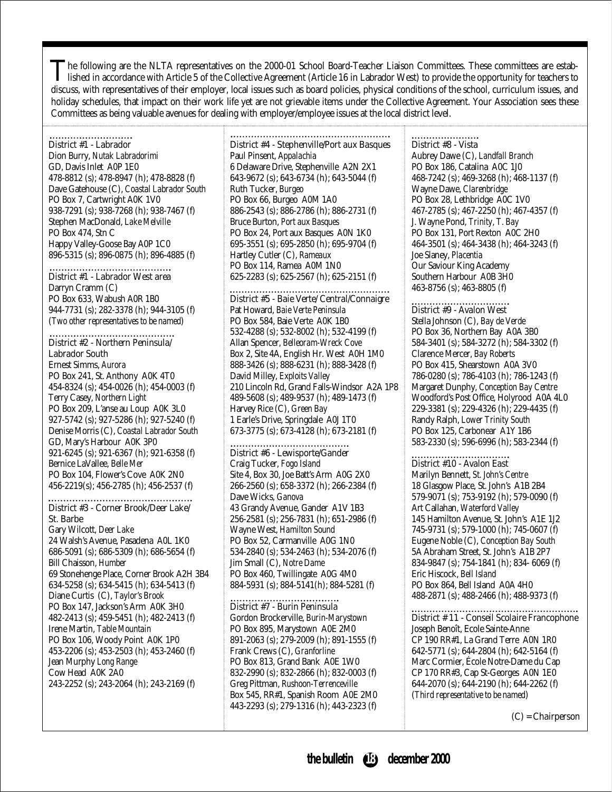The following are the NLTA representatives on the 2000-01 School Board-Teacher Liaison Committees. These committees are established in accordance with Article 5 of the Collective Agreement (Article 16 in Labrador West) to discuss, with representatives of their employer, local issues such as board policies, physical conditions of the school, curriculum issues, and holiday schedules, that impact on their work life yet are not grievable items under the Collective Agreement. Your Association sees these Committees as being valuable avenues for dealing with employer/employee issues at the local district level.

#### District #1 - Labrador

Dion Burry, *Nutak Labradorimi* GD, Davis Inlet A0P 1E0 478-8812 (s); 478-8947 (h); 478-8828 (f) Dave Gatehouse (C), *Coastal Labrador South* PO Box 7, Cartwright A0K 1V0 938-7291 (s); 938-7268 (h); 938-7467 (f) Stephen MacDonald, *Lake Melville*  PO Box 474, Stn C Happy Valley-Goose Bay A0P 1C0 896-5315 (s); 896-0875 (h); 896-4885 (f)

#### District #1 - Labrador West area

Darryn Cramm (C) PO Box 633, Wabush A0R 1B0 944-7731 (s); 282-3378 (h); 944-3105 (f) (*Two other representatives to be named*)

#### District #2 - Northern Peninsula/ Labrador South

Ernest Simms, *Aurora*  PO Box 241, St. Anthony A0K 4T0 454-8324 (s); 454-0026 (h); 454-0003 (f) Terry Casey, *Northern Light* PO Box 209, L'anse au Loup A0K 3L0 927-5742 (s); 927-5286 (h); 927-5240 (f) Denise Morris (C), *Coastal Labrador South* GD, Mary's Harbour A0K 3P0 921-6245 (s); 921-6367 (h); 921-6358 (f) Bernice LaVallee, *Belle Mer* PO Box 104, Flower's Cove A0K 2N0 456-2219(s); 456-2785 (h); 456-2537 (f)

#### District #3 - Corner Brook/Deer Lake/ St. Barbe

Gary Wilcott, *Deer Lake*  24 Walsh's Avenue, Pasadena A0L 1K0 686-5091 (s); 686-5309 (h); 686-5654 (f) Bill Chaisson, *Humber*  69 Stonehenge Place, Corner Brook A2H 3B4 634-5258 (s); 634-5415 (h); 634-5413 (f) Diane Curtis (C), *Taylor's Brook* PO Box 147, Jackson's Arm A0K 3H0 482-2413 (s); 459-5451 (h); 482-2413 (f) Irene Martin, *Table Mountain* PO Box 106, Woody Point A0K 1P0 453-2206 (s); 453-2503 (h); 453-2460 (f) Jean Murphy *Long Range* Cow Head A0K 2A0 243-2252 (s); 243-2064 (h); 243-2169 (f)

#### District #4 - Stephenville/Port aux Basques Paul Pinsent, *Appalachia*

6 Delaware Drive, Stephenville A2N 2X1 643-9672 (s); 643-6734 (h); 643-5044 (f) Ruth Tucker, *Burgeo* PO Box 66, Burgeo A0M 1A0 886-2543 (s); 886-2786 (h); 886-2731 (f) Bruce Burton, *Port aux Basques*  PO Box 24, Port aux Basques A0N 1K0 695-3551 (s); 695-2850 (h); 695-9704 (f) Hartley Cutler (C), *Rameaux*  PO Box 114, Ramea A0M 1N0 625-2283 (s); 625-2567 (h); 625-2151 (f)

#### District #5 - Baie Verte/ Central/Connaigre

Pat Howard, *Baie Verte Peninsula* PO Box 584, Baie Verte A0K 1B0 532-4288 (s); 532-8002 (h); 532-4199 (f) Allan Spencer, *Belleoram-Wreck Cove* Box 2, Site 4A, English Hr. West A0H 1M0 888-3426 (s); 888-6231 (h); 888-3428 (f) David Milley, *Exploits Valley* 210 Lincoln Rd, Grand Falls-Windsor A2A 1P8 489-5608 (s); 489-9537 (h); 489-1473 (f) Harvey Rice (C), *Green Bay* 1 Earle's Drive, Springdale A0J 1T0 673-3775 (s); 673-4128 (h); 673-2181 (f)

#### District #6 - Lewisporte/Gander

Craig Tucker, *Fogo Island* Site 4, Box 30, Joe Batt's Arm A0G 2X0 266-2560 (s); 658-3372 (h); 266-2384 (f) Dave Wicks, *Ganova* 43 Grandy Avenue, Gander A1V 1B3 256-2581 (s); 256-7831 (h); 651-2986 (f) Wayne West, *Hamilton Sound* PO Box 52, Carmanville A0G 1N0 534-2840 (s); 534-2463 (h); 534-2076 (f) Jim Small (C), *Notre Dame* PO Box 460, Twillingate A0G 4M0 884-5931 (s); 884-5141(h); 884-5281 (f)

#### ................... District #7 - Burin Peninsula

Gordon Brockerville, *Burin-Marystown* PO Box 895, Marystown A0E 2M0 891-2063 (s); 279-2009 (h); 891-1555 (f) Frank Crews (C), *Granforline* PO Box 813, Grand Bank A0E 1W0 832-2990 (s); 832-2866 (h); 832-0003 (f) Greg Pittman, *Rushoon-Terrenceville* Box 545, RR#1, Spanish Room A0E 2M0 443-2293 (s); 279-1316 (h); 443-2323 (f)

#### District #8 - Vista

Aubrey Dawe (C), *Landfall Branch* PO Box 186, Catalina A0C 1J0 468-7242 (s); 469-3268 (h); 468-1137 (f) Wayne Dawe, *Clarenbridge* PO Box 28, Lethbridge A0C 1V0 467-2785 (s); 467-2250 (h); 467-4357 (f) J. Wayne Pond, *Trinity, T. Bay* PO Box 131, Port Rexton A0C 2H0 464-3501 (s); 464-3438 (h); 464-3243 (f) Joe Slaney, *Placentia* Our Saviour King Academy Southern Harbour A0B 3H0 463-8756 (s); 463-8805 (f)

#### District #9 - Avalon West

Stella Johnson (C), *Bay de Verde* PO Box 36, Northern Bay A0A 3B0 584-3401 (s); 584-3272 (h); 584-3302 (f) Clarence Mercer, *Bay Roberts* PO Box 415, Shearstown A0A 3V0 786-0280 (s); 786-4103 (h); 786-1243 (f) Margaret Dunphy, *Conception Bay Centre* Woodford's Post Office, Holyrood A0A 4L0 229-3381 (s); 229-4326 (h); 229-4435 (f) Randy Ralph, *Lower Trinity South* PO Box 125, Carbonear A1Y 1B6 583-2330 (s); 596-6996 (h); 583-2344 (f)

#### .............................. District #10 - Avalon East

Marilyn Bennett, *St. John's Centre* 18 Glasgow Place, St. John's A1B 2B4 579-9071 (s); 753-9192 (h); 579-0090 (f) Art Callahan, *Waterford Valley* 145 Hamilton Avenue, St. John's A1E 1J2 745-9731 (s); 579-1000 (h); 745-0607 (f) Eugene Noble (C), *Conception Bay South* 5A Abraham Street, St. John's A1B 2P7 834-9847 (s); 754-1841 (h); 834- 6069 (f) Eric Hiscock, *Bell Island* PO Box 864, Bell Island A0A 4H0 488-2871 (s); 488-2466 (h); 488-9373 (f)

#### District # 11 - Conseil Scolaire Francophone Joseph Benoît, Ecole Sainte-Anne

CP 190 RR#1, La Grand Terre A0N 1R0 642-5771 (s); 644-2804 (h); 642-5164 (f) Marc Cormier, École Notre-Dame du Cap CP 170 RR#3, Cap St-Georges A0N 1E0 644-2070 (s); 644-2190 (h); 644-2262 (f) (*Third representative to be named*)

(C) = Chairperson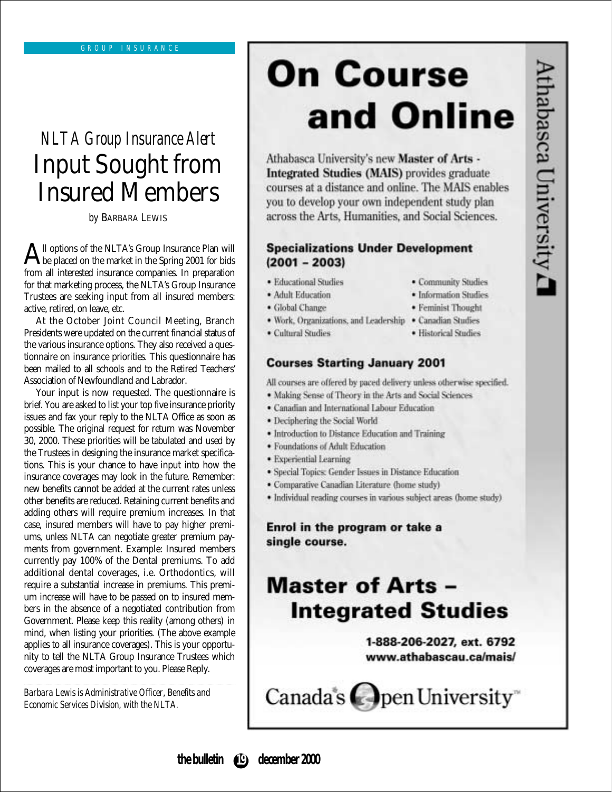## *NLTA Group Insurance Alert* Input Sought from Insured Members

*by* BARBARA LEWIS

All options of the NLTA's Group Insurance Plan will<br>be placed on the market in the Spring 2001 for bids<br>from all interacted incurrence companies. In approaching from all interested insurance companies. In preparation for that marketing process, the NLTA's Group Insurance Trustees are seeking input from all insured members: active, retired, on leave, etc.

At the October Joint Council Meeting, Branch Presidents were updated on the current financial status of the various insurance options. They also received a questionnaire on insurance priorities. This questionnaire has been mailed to all schools and to the Retired Teachers' Association of Newfoundland and Labrador.

Your input is now requested. The questionnaire is brief. You are asked to list your top five insurance priority issues and fax your reply to the NLTA Office as soon as possible. The original request for return was November 30, 2000. These priorities will be tabulated and used by the Trustees in designing the insurance market specifications. This is your chance to have input into how the insurance coverages may look in the future. Remember: new benefits cannot be added at the current rates unless other benefits are reduced. Retaining current benefits and adding others will require premium increases. In that case, insured members will have to pay higher premiums, *unless* NLTA can negotiate greater premium payments from government. Example: Insured members currently pay 100% of the Dental premiums. To add additional dental coverages, i.e. Orthodontics, will require a substantial increase in premiums. This premium increase will have to be passed on to insured members in the absence of a negotiated contribution from Government. Please keep this reality (among others) in mind, when listing your priorities. (The above example applies to all insurance coverages). This is your opportunity to tell the NLTA Group Insurance Trustees which coverages are most important to you. Please Reply.

*Barbara Lewis is Administrative Officer, Benefits and Economic Services Division, with the NLTA.*

## **On Course** and Online

Athabasca University's new Master of Arts -Integrated Studies (MAIS) provides graduate courses at a distance and online. The MAIS enables you to develop your own independent study plan across the Arts, Humanities, and Social Sciences.

#### **Specializations Under Development**  $(2001 - 2003)$

- · Educational Studies
- · Adult Education
- · Global Change
- · Community Studies · Information Studies

· Historical Studies

- · Feminist Thought
- 
- · Work, Organizations, and Leadership · Canadian Studies
- Cultural Studies

#### **Courses Starting January 2001**

All courses are offered by paced delivery unless otherwise specified.

- · Making Sense of Theory in the Arts and Social Sciences
- · Canadian and International Labour Education
- · Deciphering the Social World
- · Introduction to Distance Education and Training
- · Foundations of Adult Education
- · Experiential Learning
- · Special Topics: Gender Issues in Distance Education
- · Comparative Canadian Literature (home study)
- · Individual reading courses in various subject areas (home study)

Enrol in the program or take a single course.

## **Master of Arts -Integrated Studies**

1-888-206-2027, ext. 6792 www.athabascau.ca/mais/

Canada's pen University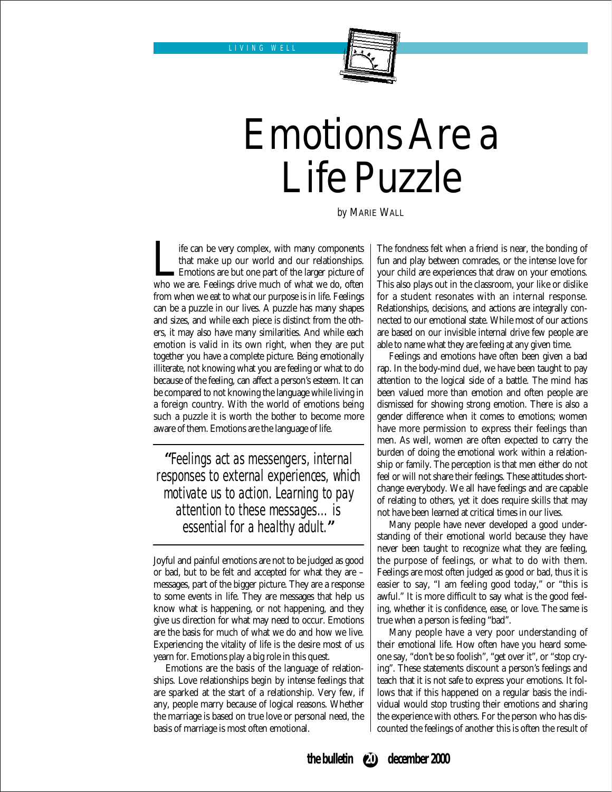

## Emotions Are a Life Puzzle

*by* MARIE WALL

If if can be very complex, with many components<br>that make up our world and our relationships.<br>Emotions are but one part of the larger picture of<br>who we are. Feelings drive much of what we do, often that make up our world and our relationships. Emotions are but one part of the larger picture of from when we eat to what our purpose is in life. Feelings can be a puzzle in our lives. A puzzle has many shapes and sizes, and while each piece is distinct from the others, it may also have many similarities. And while each emotion is valid in its own right, when they are put together you have a complete picture. Being emotionally illiterate, not knowing what you are feeling or what to do because of the feeling, can affect a person's esteem. It can be compared to not knowing the language while living in a foreign country. With the world of emotions being such a puzzle it is worth the bother to become more aware of them. Emotions are the language of life.

**"**Feelings act as messengers, internal responses to external experiences, which motivate us to action. Learning to pay attention to these messages…is essential for a healthy adult.**"**

Joyful and painful emotions are not to be judged as good or bad, but to be felt and accepted for what they are – messages, part of the bigger picture. They are a response to some events in life. They are messages that help us know what is happening, or not happening, and they give us direction for what may need to occur. Emotions are the basis for much of what we do and how we live. Experiencing the vitality of life is the desire most of us yearn for. Emotions play a big role in this quest.

Emotions are the basis of the language of relationships. Love relationships begin by intense feelings that are sparked at the start of a relationship. Very few, if any, people marry because of logical reasons. Whether the marriage is based on true love or personal need, the basis of marriage is most often emotional.

The fondness felt when a friend is near, the bonding of fun and play between comrades, or the intense love for your child are experiences that draw on your emotions. This also plays out in the classroom, your like or dislike for a student resonates with an internal response. Relationships, decisions, and actions are integrally connected to our emotional state. While most of our actions are based on our invisible internal drive few people are able to name what they are feeling at any given time.

Feelings and emotions have often been given a bad rap. In the body-mind duel, we have been taught to pay attention to the logical side of a battle. The mind has been valued more than emotion and often people are dismissed for showing strong emotion. There is also a gender difference when it comes to emotions; women have more permission to express their feelings than men. As well, women are often expected to carry the burden of doing the emotional work within a relationship or family. The perception is that men either do not feel or will not share their feelings. These attitudes shortchange everybody. We all have feelings and are capable of relating to others, yet it does require skills that may not have been learned at critical times in our lives.

Many people have never developed a good understanding of their emotional world because they have never been taught to recognize what they are feeling, the purpose of feelings, or what to do with them. Feelings are most often judged as good or bad, thus it is easier to say, "I am feeling good today," or "this is awful." It is more difficult to say what is the good feeling, whether it is confidence, ease, or love. The same is true when a person is feeling "bad".

Many people have a very poor understanding of their emotional life. How often have you heard someone say, "don't be so foolish", "get over it", or "stop crying". These statements discount a person's feelings and teach that it is not safe to express your emotions. It follows that if this happened on a regular basis the individual would stop trusting their emotions and sharing the experience with others. For the person who has discounted the feelings of another this is often the result of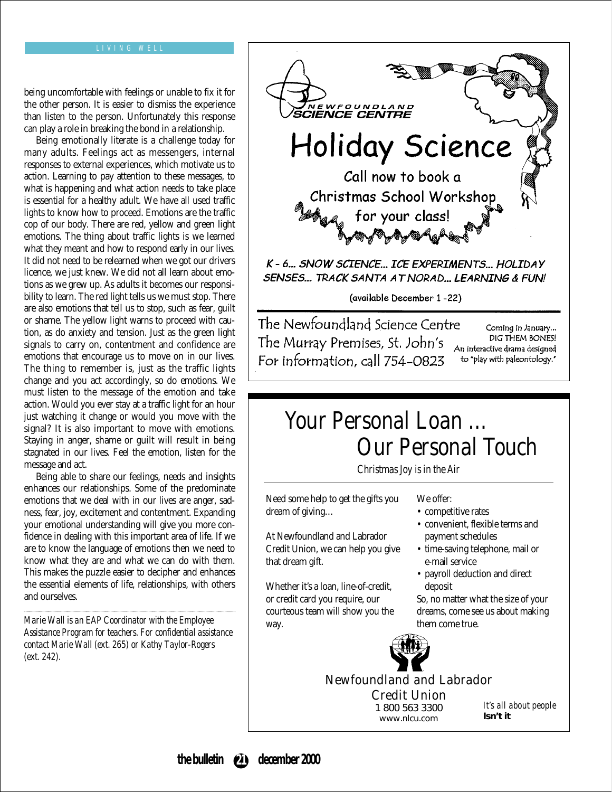#### LIVING WELL

being uncomfortable with feelings or unable to fix it for the other person. It is easier to dismiss the experience than listen to the person. Unfortunately this response can play a role in breaking the bond in a relationship.

Being emotionally literate is a challenge today for many adults. Feelings act as messengers, internal responses to external experiences, which motivate us to action. Learning to pay attention to these messages, to what is happening and what action needs to take place is essential for a healthy adult. We have all used traffic lights to know how to proceed. Emotions are the traffic cop of our body. There are red, yellow and green light emotions. The thing about traffic lights is we learned what they meant and how to respond early in our lives. It did not need to be relearned when we got our drivers licence, we just knew. We did not all learn about emotions as we grew up. As adults it becomes our responsibility to learn. The red light tells us we must stop. There are also emotions that tell us to stop, such as fear, guilt or shame. The yellow light warns to proceed with caution, as do anxiety and tension. Just as the green light signals to carry on, contentment and confidence are emotions that encourage us to move on in our lives. The thing to remember is, just as the traffic lights change and you act accordingly, so do emotions. We must listen to the message of the emotion and take action. Would you ever stay at a traffic light for an hour just watching it change or would you move with the signal? It is also important to move with emotions. Staying in anger, shame or guilt will result in being stagnated in our lives. Feel the emotion, listen for the message and act.

Being able to share our feelings, needs and insights enhances our relationships. Some of the predominate emotions that we deal with in our lives are anger, sadness, fear, joy, excitement and contentment. Expanding your emotional understanding will give you more confidence in dealing with this important area of life. If we are to know the language of emotions then we need to know what they are and what we can do with them. This makes the puzzle easier to decipher and enhances the essential elements of life, relationships, with others and ourselves.

*Marie Wall is an EAP Coordinator with the Employee Assistance Program for teachers. For confidential assistance contact Marie Wall (ext. 265) or Kathy Taylor-Rogers (ext. 242).*



The Murray Premises, St. John's For information, call 754-0823

Coming in January... DIG THEM BONES! An interactive drama designed to "play with paleontology."

## *Your Personal Loan … Our Personal Touch*

*Christmas Joy is in the Air*

Need some help to get the gifts you dream of giving…

At Newfoundland and Labrador Credit Union, we can help you give that dream gift.

Whether it's a loan, line-of-credit, or credit card you require, our courteous team will show you the way.

We offer:

- competitive rates
- convenient, flexible terms and payment schedules
- time-saving telephone, mail or e-mail service
- payroll deduction and direct deposit

So, no matter what the size of your dreams, come see us about making them come true.



#### Newfoundland and Labrador Credit Union

1 800 563 3300 www.nlcu.com

*It's all about people* **Isn't it**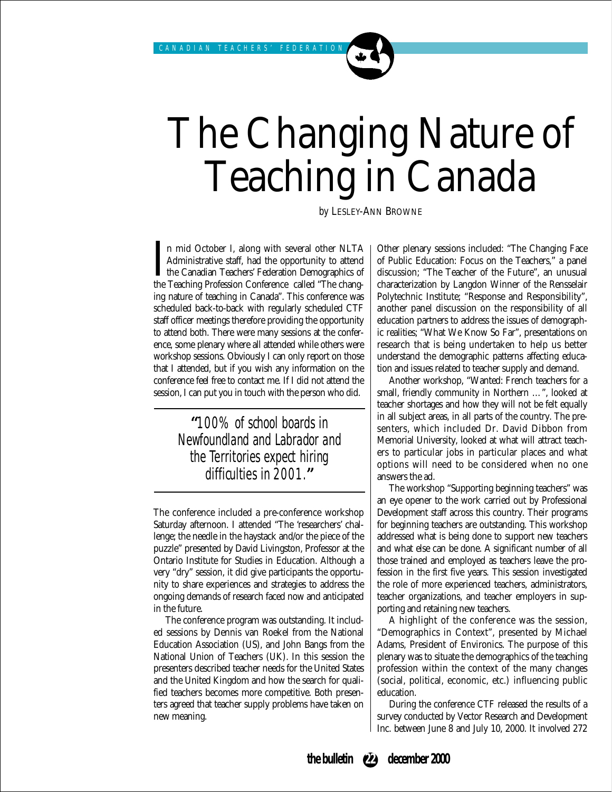## The Changing Nature of Teaching in Canada

*by* LESLEY-ANN BROWNE

I<sub>the</sub> n mid October I, along with several other NLTA Administrative staff, had the opportunity to attend the Canadian Teachers' Federation Demographics of the Teaching Profession Conference called "The changing nature of teaching in Canada". This conference was scheduled back-to-back with regularly scheduled CTF staff officer meetings therefore providing the opportunity to attend both. There were many sessions at the conference, some plenary where all attended while others were workshop sessions. Obviously I can only report on those that I attended, but if you wish any information on the conference feel free to contact me. If I did not attend the session, I can put you in touch with the person who did.

### **"**100% of school boards in Newfoundland and Labrador and the Territories expect hiring difficulties in 2001.**"**

The conference included a pre-conference workshop Saturday afternoon. I attended "The 'researchers' challenge; the needle in the haystack and/or the piece of the puzzle" presented by David Livingston, Professor at the Ontario Institute for Studies in Education. Although a very "dry" session, it did give participants the opportunity to share experiences and strategies to address the ongoing demands of research faced now and anticipated in the future.

The conference program was outstanding. It included sessions by Dennis van Roekel from the National Education Association (US), and John Bangs from the National Union of Teachers (UK). In this session the presenters described teacher needs for the United States and the United Kingdom and how the search for qualified teachers becomes more competitive. Both presenters agreed that teacher supply problems have taken on new meaning.

Other plenary sessions included: "The Changing Face of Public Education: Focus on the Teachers," a panel discussion; "The Teacher of the Future", an unusual characterization by Langdon Winner of the Rensselair Polytechnic Institute; "Response and Responsibility", another panel discussion on the responsibility of all education partners to address the issues of demographic realities; "What We Know So Far", presentations on research that is being undertaken to help us better understand the demographic patterns affecting education and issues related to teacher supply and demand.

Another workshop, "Wanted: French teachers for a small, friendly community in Northern …", looked at teacher shortages and how they will not be felt equally in all subject areas, in all parts of the country. The presenters, which included Dr. David Dibbon from Memorial University, looked at what will attract teachers to particular jobs in particular places and what options will need to be considered when no one answers the ad.

The workshop "Supporting beginning teachers" was an eye opener to the work carried out by Professional Development staff across this country. Their programs for beginning teachers are outstanding. This workshop addressed what is being done to support new teachers and what else can be done. A significant number of all those trained and employed as teachers leave the profession in the first five years. This session investigated the role of more experienced teachers, administrators, teacher organizations, and teacher employers in supporting and retaining new teachers.

A highlight of the conference was the session, "Demographics in Context", presented by Michael Adams, President of Environics. The purpose of this plenary was to situate the demographics of the teaching profession within the context of the many changes (social, political, economic, etc.) influencing public education.

During the conference CTF released the results of a survey conducted by Vector Research and Development Inc. between June 8 and July 10, 2000. It involved 272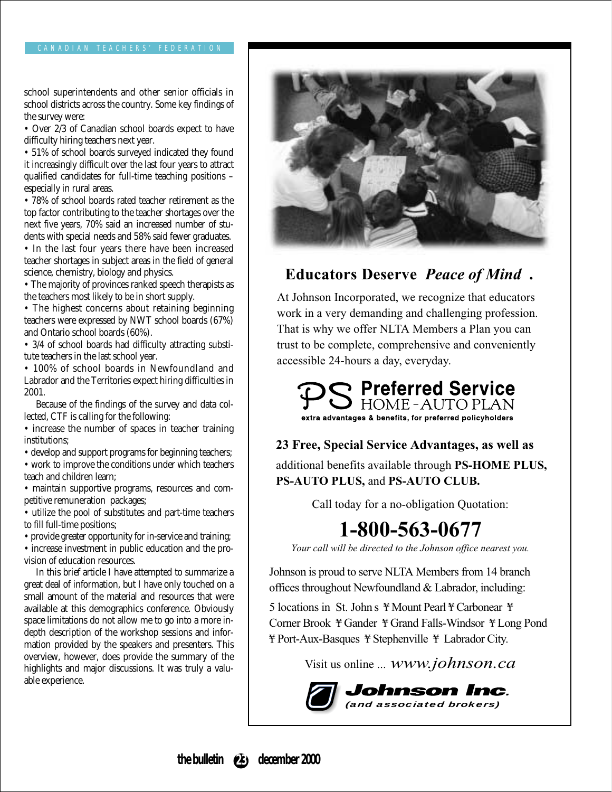school superintendents and other senior officials in school districts across the country. Some key findings of the survey were:

• Over 2/3 of Canadian school boards expect to have difficulty hiring teachers next year.

• 51% of school boards surveyed indicated they found it increasingly difficult over the last four years to attract qualified candidates for full-time teaching positions – especially in rural areas.

• 78% of school boards rated teacher retirement as the top factor contributing to the teacher shortages over the next five years, 70% said an increased number of students with special needs and 58% said fewer graduates.

• In the last four years there have been increased teacher shortages in subject areas in the field of general science, chemistry, biology and physics.

• The majority of provinces ranked speech therapists as the teachers most likely to be in short supply.

• The highest concerns about retaining beginning teachers were expressed by NWT school boards (67%) and Ontario school boards (60%).

• 3/4 of school boards had difficulty attracting substitute teachers in the last school year.

• 100% of school boards in Newfoundland and Labrador and the Territories expect hiring difficulties in 2001.

Because of the findings of the survey and data collected, CTF is calling for the following:

• increase the number of spaces in teacher training institutions;

• develop and support programs for beginning teachers;

• work to improve the conditions under which teachers teach and children learn;

• maintain supportive programs, resources and competitive remuneration packages;

• utilize the pool of substitutes and part-time teachers to fill full-time positions;

• provide greater opportunity for in-service and training;

• increase investment in public education and the provision of education resources.

In this brief article I have attempted to summarize a great deal of information, but I have only touched on a small amount of the material and resources that were available at this demographics conference. Obviously space limitations do not allow me to go into a more indepth description of the workshop sessions and information provided by the speakers and presenters. This overview, however, does provide the summary of the highlights and major discussions. It was truly a valuable experience.



### **Educators Deserve** *Peace of Mind* **.**

At Johnson Incorporated, we recognize that educators work in a very demanding and challenging profession. That is why we offer NLTA Members a Plan you can trust to be complete, comprehensive and conveniently accessible 24-hours a day, everyday.



**23 Free, Special Service Advantages, as well as** additional benefits available through **PS-HOME PLUS,**

**PS-AUTO PLUS,** and **PS-AUTO CLUB.**

Call today for a no-obligation Quotation:

## **1-800-563-0677**

*Your call will be directed to the Johnson office nearest you.*

Johnson is proud to serve NLTA Members from 14 branch offices throughout Newfoundland & Labrador, including:

5 locations in St. John s ¥ Mount Pearl ¥ Carbonear ¥ Corner Brook ¥ Gander ¥ Grand Falls-Windsor ¥ Long Pond ¥ Port-Aux-Basques ¥ Stephenville ¥ Labrador City.

Visit us online ... *www.johnson.ca*



**the bulletin december 2000 23**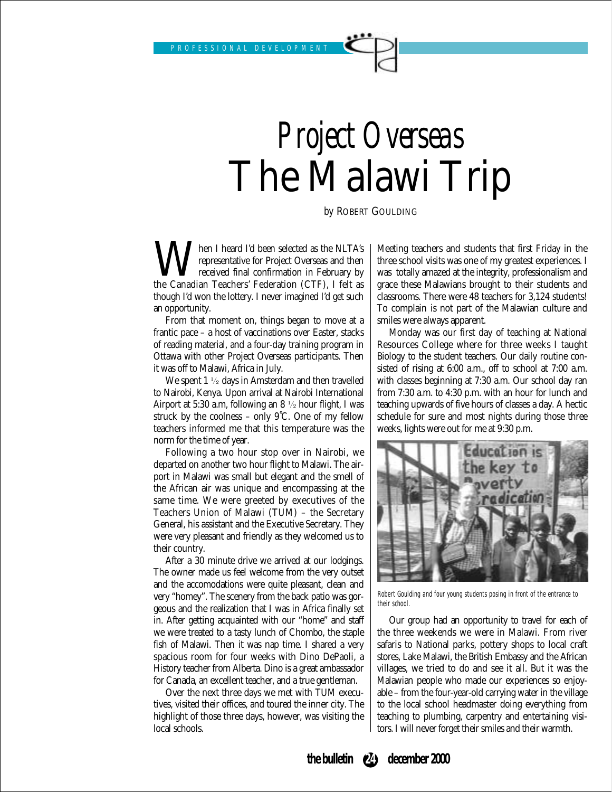PROFESSIONAL DEVELOPMENT

## *Project Overseas* The Malawi Trip

*by* ROBERT GOULDING

**W**epresentative for Project Overseas and then<br>received final confirmation in February by<br>the Canadian Teachers' Federation (CTF), I felt as representative for Project Overseas and then received final confirmation in February by though I'd won the lottery. I never imagined I'd get such an opportunity.

From that moment on, things began to move at a frantic pace – a host of vaccinations over Easter, stacks of reading material, and a four-day training program in Ottawa with other Project Overseas participants. Then it was off to Malawi, Africa in July.

We spent 1 ½ days in Amsterdam and then travelled to Nairobi, Kenya. Upon arrival at Nairobi International Airport at 5:30 a.m, following an 8 ½ hour flight, I was struck by the coolness – only 9˚C. One of my fellow teachers informed me that this temperature was the norm for the time of year.

Following a two hour stop over in Nairobi, we departed on another two hour flight to Malawi. The airport in Malawi was small but elegant and the smell of the African air was unique and encompassing at the same time. We were greeted by executives of the Teachers Union of Malawi (TUM) – the Secretary General, his assistant and the Executive Secretary. They were very pleasant and friendly as they welcomed us to their country.

After a 30 minute drive we arrived at our lodgings. The owner made us feel welcome from the very outset and the accomodations were quite pleasant, clean and very "homey". The scenery from the back patio was gorgeous and the realization that I was in Africa finally set in. After getting acquainted with our "home" and staff we were treated to a tasty lunch of Chombo, the staple fish of Malawi. Then it was nap time. I shared a very spacious room for four weeks with Dino DePaoli, a History teacher from Alberta. Dino is a great ambassador for Canada, an excellent teacher, and a true gentleman.

Over the next three days we met with TUM executives, visited their offices, and toured the inner city. The highlight of those three days, however, was visiting the local schools.

Meeting teachers and students that first Friday in the three school visits was one of my greatest experiences. I was totally amazed at the integrity, professionalism and grace these Malawians brought to their students and classrooms. There were 48 teachers for 3,124 students! To complain is not part of the Malawian culture and smiles were always apparent.

Monday was our first day of teaching at National Resources College where for three weeks I taught Biology to the student teachers. Our daily routine consisted of rising at 6:00 a.m., off to school at 7:00 a.m. with classes beginning at 7:30 a.m. Our school day ran from 7:30 a.m. to 4:30 p.m. with an hour for lunch and teaching upwards of five hours of classes a day. A hectic schedule for sure and most nights during those three weeks, lights were out for me at 9:30 p.m.



Robert Goulding and four young students posing in front of the entrance to their school.

Our group had an opportunity to travel for each of the three weekends we were in Malawi. From river safaris to National parks, pottery shops to local craft stores, Lake Malawi, the British Embassy and the African villages, we tried to do and see it all. But it was the Malawian people who made our experiences so enjoyable – from the four-year-old carrying water in the village to the local school headmaster doing everything from teaching to plumbing, carpentry and entertaining visitors. I will never forget their smiles and their warmth.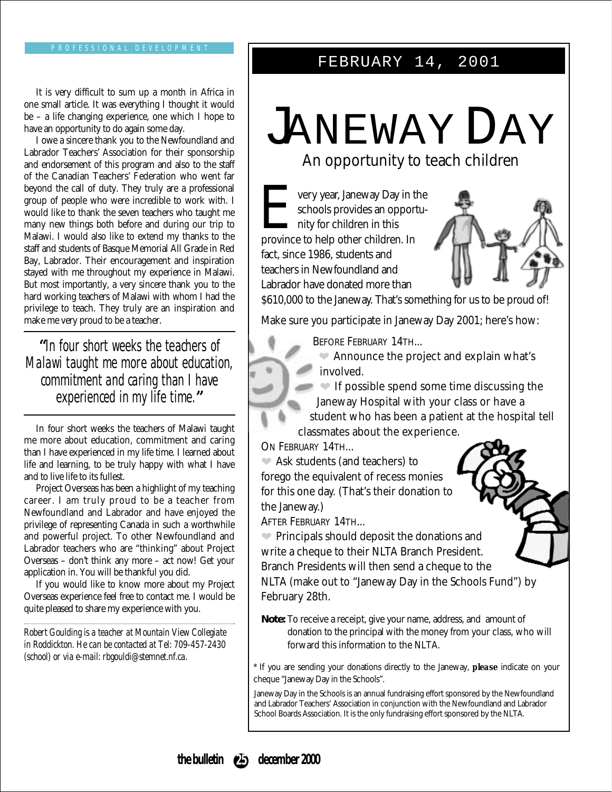#### FEBRUARY 14, 2001

It is very difficult to sum up a month in Africa in one small article. It was everything I thought it would be – a life changing experience, one which I hope to have an opportunity to do again some day.

I owe a sincere thank you to the Newfoundland and Labrador Teachers' Association for their sponsorship and endorsement of this program and also to the staff of the Canadian Teachers' Federation who went far beyond the call of duty. They truly are a professional group of people who were incredible to work with. I would like to thank the seven teachers who taught me many new things both before and during our trip to Malawi. I would also like to extend my thanks to the staff and students of Basque Memorial All Grade in Red Bay, Labrador. Their encouragement and inspiration stayed with me throughout my experience in Malawi. But most importantly, a very sincere thank you to the hard working teachers of Malawi with whom I had the privilege to teach. They truly are an inspiration and make me very proud to be a teacher.

**"**In four short weeks the teachers of Malawi taught me more about education, commitment and caring than I have experienced in my life time.**"**

In four short weeks the teachers of Malawi taught me more about education, commitment and caring than I have experienced in my life time. I learned about life and learning, to be truly happy with what I have and to live life to its fullest.

Project Overseas has been a highlight of my teaching career. I am truly proud to be a teacher from Newfoundland and Labrador and have enjoyed the privilege of representing Canada in such a worthwhile and powerful project. To other Newfoundland and Labrador teachers who are "thinking" about Project Overseas – don't think any more – act now! Get your application in. You will be thankful you did.

If you would like to know more about my Project Overseas experience feel free to contact me. I would be quite pleased to share my experience with you.

*Robert Goulding is a teacher at Mountain View Collegiate in Roddickton. He can be contacted at Tel: 709-457-2430 (school) or via e-mail: rbgouldi@stemnet.nf.ca.*

## JANEWAY DAY

An opportunity to teach children

**V** very year, Janeway Day in the schools provides an opportu-**A** nity for children in this province to help other children. In fact, since 1986, students and teachers in Newfoundland and Labrador have donated more than



\$610,000 to the Janeway. That's something for us to be proud of!

Make sure you participate in Janeway Day 2001; here's how:

BEFORE FEBRUARY 14TH...

❤ Announce the project and explain what's involved.

**EXECUTE:** If possible spend some time discussing the Janeway Hospital with your class or have a student who has been a patient at the hospital tell classmates about the experience.

ON FEBRUARY 14TH...

❤ Ask students (and teachers) to forego the equivalent of recess monies for this one day. (That's their donation to the Janeway.)

AFTER FEBRUARY 14TH...

❤ Principals should deposit the donations and write a cheque to their NLTA Branch President. Branch Presidents will then send a cheque to the NLTA (make out to "Janeway Day in the Schools Fund") by February 28th.

**Note:** To receive a receipt, give your name, address, and amount of donation to the principal with the money from your class, who will forward this information to the NLTA.

\* If you are sending your donations directly to the Janeway, *please* indicate on your cheque "Janeway Day in the Schools".

Janeway Day in the Schools is an annual fundraising effort sponsored by the Newfoundland and Labrador Teachers' Association in conjunction with the Newfoundland and Labrador School Boards Association. It is the only fundraising effort sponsored by the NLTA.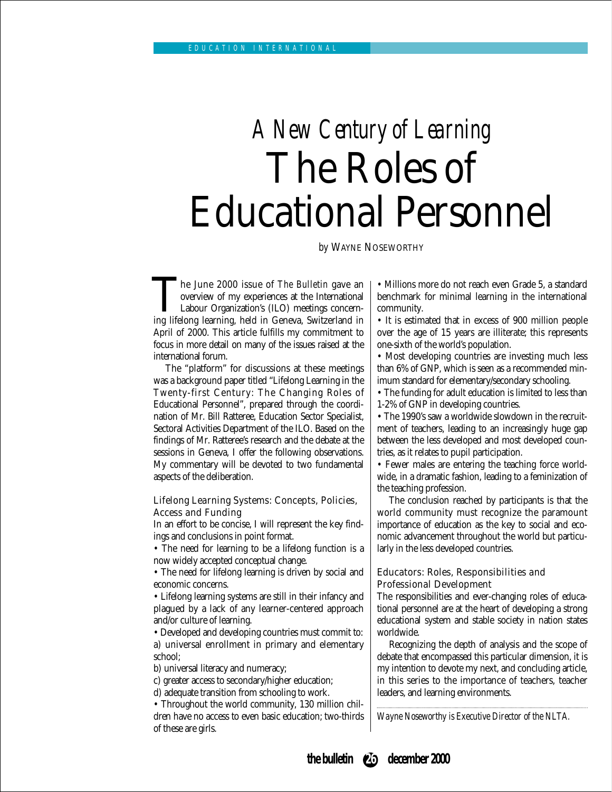## *A New Century of Learning* The Roles of Educational Personnel

*by* WAYNE NOSEWORTHY

The June 2000 issue of *The Bulletin* gave an overview of my experiences at the International Labour Organization's (ILO) meetings concerning lifelong learning, held in Geneva, Switzerland in overview of my experiences at the International Labour Organization's (ILO) meetings concern-April of 2000. This article fulfills my commitment to focus in more detail on many of the issues raised at the international forum.

The "platform" for discussions at these meetings was a background paper titled "Lifelong Learning in the Twenty-first Century: The Changing Roles of Educational Personnel", prepared through the coordination of Mr. Bill Ratteree, Education Sector Specialist, Sectoral Activities Department of the ILO. Based on the findings of Mr. Ratteree's research and the debate at the sessions in Geneva, I offer the following observations. My commentary will be devoted to two fundamental aspects of the deliberation.

#### Lifelong Learning Systems: Concepts, Policies, Access and Funding

In an effort to be concise, I will represent the key findings and conclusions in point format.

• The need for learning to be a lifelong function is a now widely accepted conceptual change.

• The need for lifelong learning is driven by social and economic concerns.

• Lifelong learning systems are still in their infancy and plagued by a lack of any learner-centered approach and/or culture of learning.

• Developed and developing countries must commit to: a) universal enrollment in primary and elementary school;

b) universal literacy and numeracy;

c) greater access to secondary/higher education;

d) adequate transition from schooling to work.

• Throughout the world community, 130 million children have no access to even basic education; two-thirds of these are girls.

• Millions more do not reach even Grade 5, a standard benchmark for minimal learning in the international community.

• It is estimated that in excess of 900 million people over the age of 15 years are illiterate; this represents one-sixth of the world's population.

• Most developing countries are investing much less than 6% of GNP, which is seen as a recommended minimum standard for elementary/secondary schooling.

• The funding for adult education is limited to less than 1-2% of GNP in developing countries.

• The 1990's saw a worldwide slowdown in the recruitment of teachers, leading to an increasingly huge gap between the less developed and most developed countries, as it relates to pupil participation.

• Fewer males are entering the teaching force worldwide, in a dramatic fashion, leading to a feminization of the teaching profession.

The conclusion reached by participants is that the world community must recognize the paramount importance of education as the key to social and economic advancement throughout the world but particularly in the less developed countries.

#### Educators: Roles, Responsibilities and Professional Development

The responsibilities and ever-changing roles of educational personnel are at the heart of developing a strong educational system and stable society in nation states worldwide.

Recognizing the depth of analysis and the scope of debate that encompassed this particular dimension, it is my intention to devote my next, and concluding article, in this series to the importance of teachers, teacher leaders, and learning environments.

*Wayne Noseworthy is Executive Director of the NLTA.*

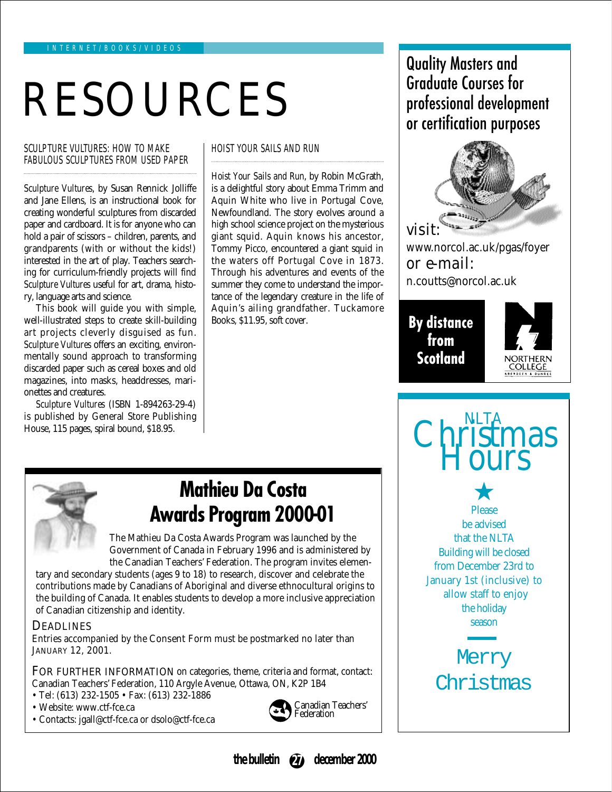## RESOURCES

#### SCULPTURE VULTURES: HOW TO MAKE FABULOUS SCULPTURES FROM USED PAPER

*Sculpture Vultures*, by Susan Rennick Jolliffe and Jane Ellens, is an instructional book for creating wonderful sculptures from discarded paper and cardboard. It is for anyone who can hold a pair of scissors – children, parents, and grandparents (with or without the kids!) interested in the art of play. Teachers searching for curriculum-friendly projects will find *Sculpture Vultures* useful for art, drama, history, language arts and science.

This book will guide you with simple, well-illustrated steps to create skill-building art projects cleverly disguised as fun. *Sculpture Vultures* offers an exciting, environmentally sound approach to transforming discarded paper such as cereal boxes and old magazines, into masks, headdresses, marionettes and creatures.

*Sculpture Vultures* (ISBN 1-894263-29-4) is published by General Store Publishing House, 115 pages, spiral bound, \$18.95.

#### HOIST YOUR SAILS AND RUN

*Hoist Your Sails and Run*, by Robin McGrath, is a delightful story about Emma Trimm and Aquin White who live in Portugal Cove, Newfoundland. The story evolves around a high school science project on the mysterious giant squid. Aquin knows his ancestor, Tommy Picco, encountered a giant squid in the waters off Portugal Cove in 1873. Through his adventures and events of the summer they come to understand the importance of the legendary creature in the life of Aquin's ailing grandfather. Tuckamore Books, \$11.95, soft cover.

## Quality Masters and Graduate Courses for professional development or certification purposes



www.norcol.ac.uk/pgas/foyer or e-mail: n.coutts@norcol.ac.uk

## **By distance from Scotland**



## **Mathieu Da Costa Awards Program 2000-01**

The Mathieu Da Costa Awards Program was launched by the Government of Canada in February 1996 and is administered by the Canadian Teachers' Federation. The program invites elemen-

tary and secondary students (ages 9 to 18) to research, discover and celebrate the contributions made by Canadians of Aboriginal and diverse ethnocultural origins to the building of Canada. It enables students to develop a more inclusive appreciation of Canadian citizenship and identity.

#### **DEADLINES**

Entries accompanied by the Consent Form must be postmarked no later than JANUARY 12, 2001.

FOR FURTHER INFORMATION on categories, theme, criteria and format, contact: Canadian Teachers' Federation, 110 Argyle Avenue, Ottawa, ON, K2P 1B4

- Tel: (613) 232-1505 Fax: (613) 232-1886
- Website: www.ctf-fce.ca
- Contacts: jgall@ctf-fce.ca or dsolo@ctf-fce.ca





Please be advised that the NLTA Building will be closed from December 23rd to January 1st (inclusive) to allow staff to enjoy the holiday season